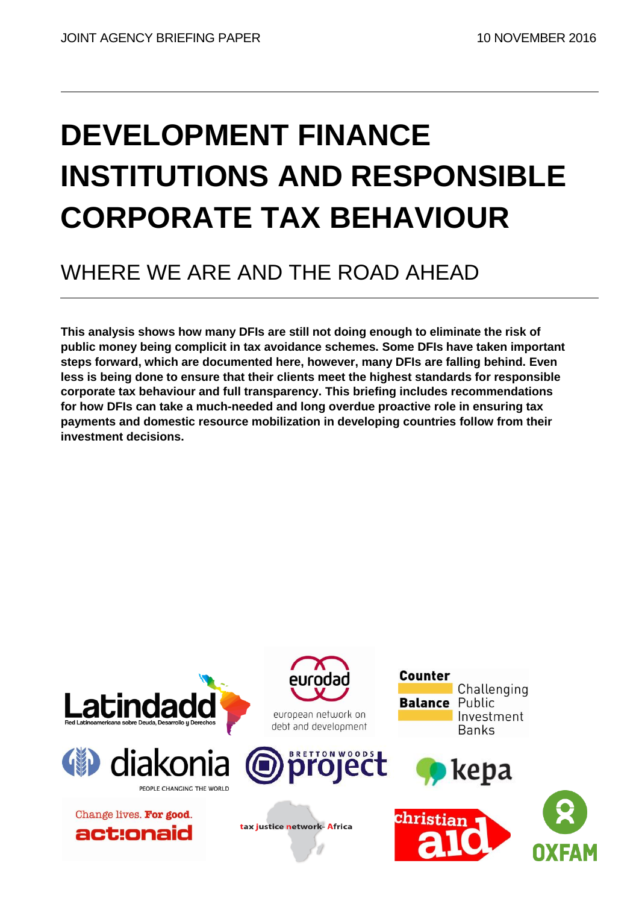# **DEVELOPMENT FINANCE INSTITUTIONS AND RESPONSIBLE CORPORATE TAX BEHAVIOUR**

# WHERE WE ARE AND THE ROAD AHEAD

**This analysis shows how many DFIs are still not doing enough to eliminate the risk of public money being complicit in tax avoidance schemes. Some DFIs have taken important steps forward, which are documented here, however, many DFIs are falling behind. Even less is being done to ensure that their clients meet the highest standards for responsible corporate tax behaviour and full transparency. This briefing includes recommendations for how DFIs can take a much-needed and long overdue proactive role in ensuring tax payments and domestic resource mobilization in developing countries follow from their investment decisions.** 

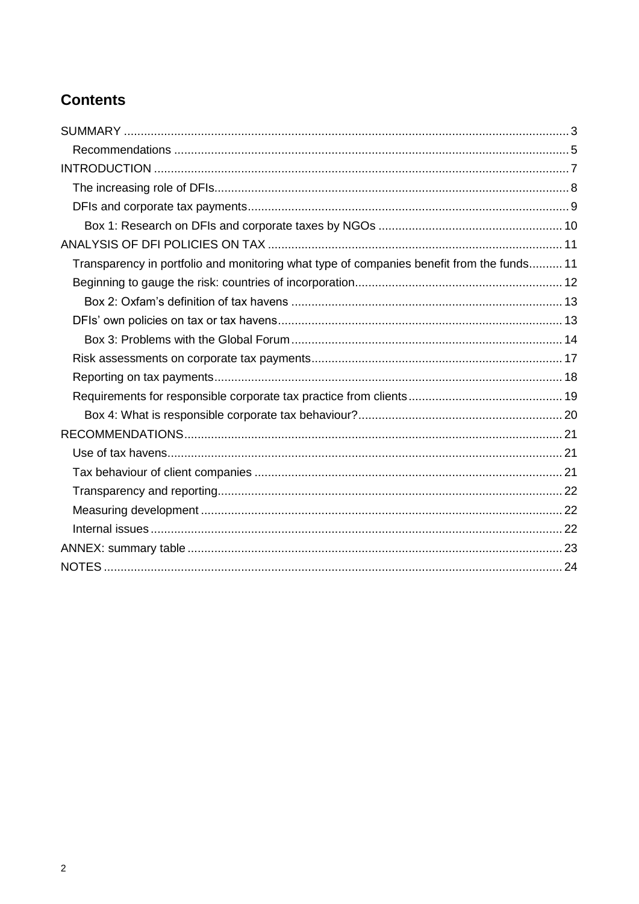# **Contents**

| Transparency in portfolio and monitoring what type of companies benefit from the funds 11 |
|-------------------------------------------------------------------------------------------|
|                                                                                           |
|                                                                                           |
|                                                                                           |
|                                                                                           |
|                                                                                           |
|                                                                                           |
|                                                                                           |
|                                                                                           |
|                                                                                           |
|                                                                                           |
|                                                                                           |
|                                                                                           |
|                                                                                           |
|                                                                                           |
|                                                                                           |
|                                                                                           |
|                                                                                           |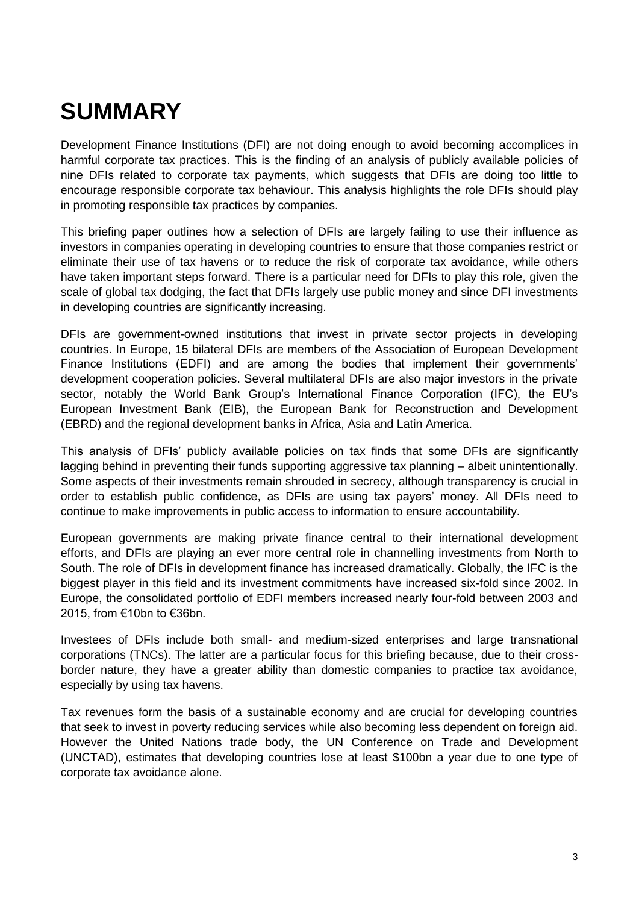# <span id="page-2-0"></span>**SUMMARY**

Development Finance Institutions (DFI) are not doing enough to avoid becoming accomplices in harmful corporate tax practices. This is the finding of an analysis of publicly available policies of nine DFIs related to corporate tax payments, which suggests that DFIs are doing too little to encourage responsible corporate tax behaviour. This analysis highlights the role DFIs should play in promoting responsible tax practices by companies.

This briefing paper outlines how a selection of DFIs are largely failing to use their influence as investors in companies operating in developing countries to ensure that those companies restrict or eliminate their use of tax havens or to reduce the risk of corporate tax avoidance, while others have taken important steps forward. There is a particular need for DFIs to play this role, given the scale of global tax dodging, the fact that DFIs largely use public money and since DFI investments in developing countries are significantly increasing.

DFIs are government-owned institutions that invest in private sector projects in developing countries. In Europe, 15 bilateral DFIs are members of the Association of European Development Finance Institutions (EDFI) and are among the bodies that implement their governments" development cooperation policies. Several multilateral DFIs are also major investors in the private sector, notably the World Bank Group's International Finance Corporation (IFC), the EU's European Investment Bank (EIB), the European Bank for Reconstruction and Development (EBRD) and the regional development banks in Africa, Asia and Latin America.

This analysis of DFIs" publicly available policies on tax finds that some DFIs are significantly lagging behind in preventing their funds supporting aggressive tax planning – albeit unintentionally. Some aspects of their investments remain shrouded in secrecy, although transparency is crucial in order to establish public confidence, as DFIs are using tax payers' money. All DFIs need to continue to make improvements in public access to information to ensure accountability.

European governments are making private finance central to their international development efforts, and DFIs are playing an ever more central role in channelling investments from North to South. The role of DFIs in development finance has increased dramatically. Globally, the IFC is the biggest player in this field and its investment commitments have increased six-fold since 2002. In Europe, the consolidated portfolio of EDFI members increased nearly four-fold between 2003 and 2015, from €10bn to €36bn.

Investees of DFIs include both small- and medium-sized enterprises and large transnational corporations (TNCs). The latter are a particular focus for this briefing because, due to their crossborder nature, they have a greater ability than domestic companies to practice tax avoidance, especially by using tax havens.

Tax revenues form the basis of a sustainable economy and are crucial for developing countries that seek to invest in poverty reducing services while also becoming less dependent on foreign aid. However the United Nations trade body, the UN Conference on Trade and Development (UNCTAD), estimates that developing countries lose at least \$100bn a year due to one type of corporate tax avoidance alone.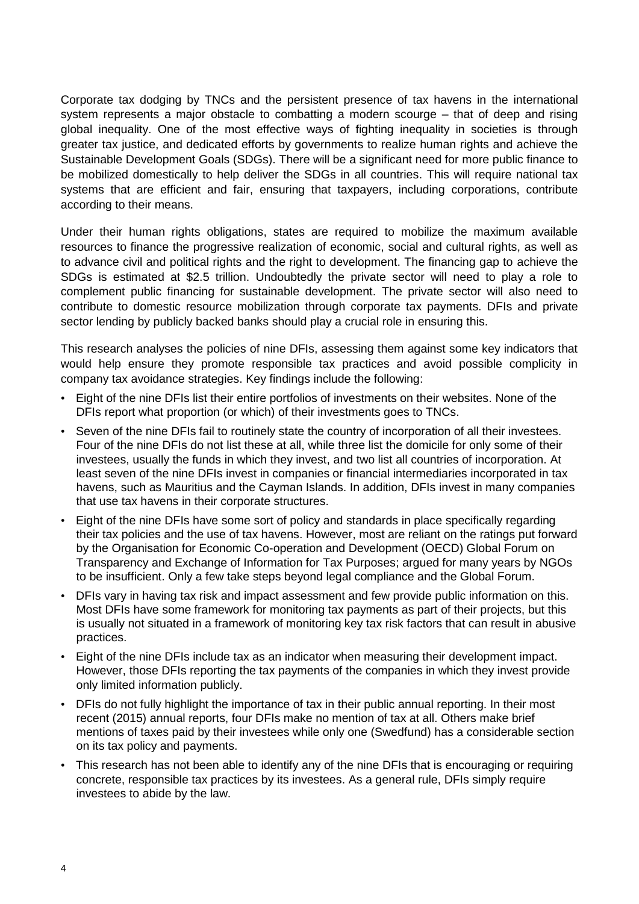Corporate tax dodging by TNCs and the persistent presence of tax havens in the international system represents a major obstacle to combatting a modern scourge – that of deep and rising global inequality. One of the most effective ways of fighting inequality in societies is through greater tax justice, and dedicated efforts by governments to realize human rights and achieve the Sustainable Development Goals (SDGs). There will be a significant need for more public finance to be mobilized domestically to help deliver the SDGs in all countries. This will require national tax systems that are efficient and fair, ensuring that taxpayers, including corporations, contribute according to their means.

Under their human rights obligations, states are required to mobilize the maximum available resources to finance the progressive realization of economic, social and cultural rights, as well as to advance civil and political rights and the right to development. The financing gap to achieve the SDGs is estimated at \$2.5 trillion. Undoubtedly the private sector will need to play a role to complement public financing for sustainable development. The private sector will also need to contribute to domestic resource mobilization through corporate tax payments. DFIs and private sector lending by publicly backed banks should play a crucial role in ensuring this.

This research analyses the policies of nine DFIs, assessing them against some key indicators that would help ensure they promote responsible tax practices and avoid possible complicity in company tax avoidance strategies. Key findings include the following:

- Eight of the nine DFIs list their entire portfolios of investments on their websites. None of the DFIs report what proportion (or which) of their investments goes to TNCs.
- Seven of the nine DFIs fail to routinely state the country of incorporation of all their investees. Four of the nine DFIs do not list these at all, while three list the domicile for only some of their investees, usually the funds in which they invest, and two list all countries of incorporation. At least seven of the nine DFIs invest in companies or financial intermediaries incorporated in tax havens, such as Mauritius and the Cayman Islands. In addition, DFIs invest in many companies that use tax havens in their corporate structures.
- Eight of the nine DFIs have some sort of policy and standards in place specifically regarding their tax policies and the use of tax havens. However, most are reliant on the ratings put forward by the Organisation for Economic Co-operation and Development (OECD) Global Forum on Transparency and Exchange of Information for Tax Purposes; argued for many years by NGOs to be insufficient. Only a few take steps beyond legal compliance and the Global Forum.
- DFIs vary in having tax risk and impact assessment and few provide public information on this. Most DFIs have some framework for monitoring tax payments as part of their projects, but this is usually not situated in a framework of monitoring key tax risk factors that can result in abusive practices.
- Eight of the nine DFIs include tax as an indicator when measuring their development impact. However, those DFIs reporting the tax payments of the companies in which they invest provide only limited information publicly.
- DFIs do not fully highlight the importance of tax in their public annual reporting. In their most recent (2015) annual reports, four DFIs make no mention of tax at all. Others make brief mentions of taxes paid by their investees while only one (Swedfund) has a considerable section on its tax policy and payments.
- This research has not been able to identify any of the nine DFIs that is encouraging or requiring concrete, responsible tax practices by its investees. As a general rule, DFIs simply require investees to abide by the law.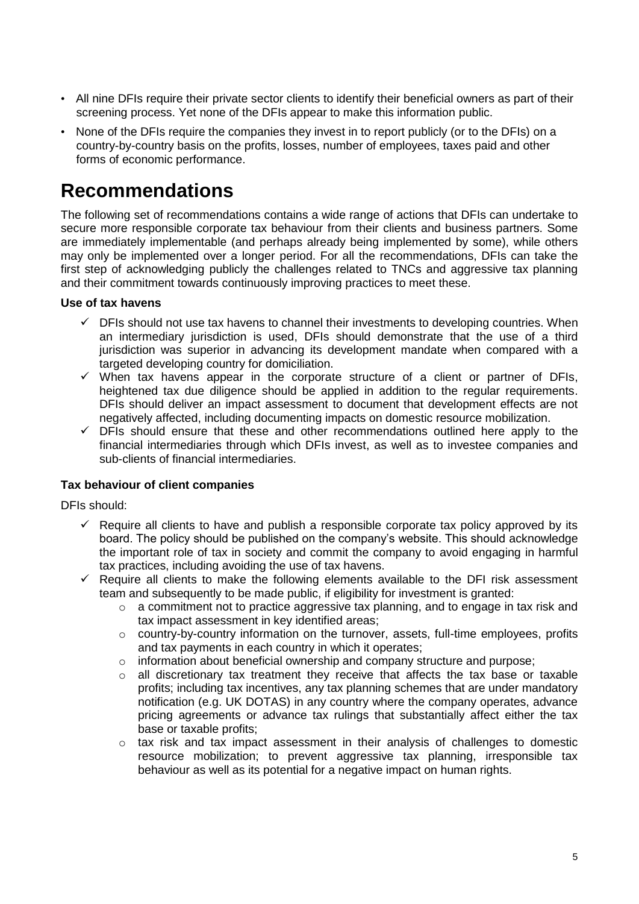- All nine DFIs require their private sector clients to identify their beneficial owners as part of their screening process. Yet none of the DFIs appear to make this information public.
- None of the DFIs require the companies they invest in to report publicly (or to the DFIs) on a country-by-country basis on the profits, losses, number of employees, taxes paid and other forms of economic performance.

# <span id="page-4-0"></span>**Recommendations**

The following set of recommendations contains a wide range of actions that DFIs can undertake to secure more responsible corporate tax behaviour from their clients and business partners. Some are immediately implementable (and perhaps already being implemented by some), while others may only be implemented over a longer period. For all the recommendations, DFIs can take the first step of acknowledging publicly the challenges related to TNCs and aggressive tax planning and their commitment towards continuously improving practices to meet these.

#### **Use of tax havens**

- $\checkmark$  DFIs should not use tax havens to channel their investments to developing countries. When an intermediary jurisdiction is used, DFIs should demonstrate that the use of a third jurisdiction was superior in advancing its development mandate when compared with a targeted developing country for domiciliation.
- $\checkmark$  When tax havens appear in the corporate structure of a client or partner of DFIs, heightened tax due diligence should be applied in addition to the regular requirements. DFIs should deliver an impact assessment to document that development effects are not negatively affected, including documenting impacts on domestic resource mobilization.
- $\checkmark$  DFIs should ensure that these and other recommendations outlined here apply to the financial intermediaries through which DFIs invest, as well as to investee companies and sub-clients of financial intermediaries.

#### **Tax behaviour of client companies**

DFIs should:

- $\checkmark$  Require all clients to have and publish a responsible corporate tax policy approved by its board. The policy should be published on the company"s website. This should acknowledge the important role of tax in society and commit the company to avoid engaging in harmful tax practices, including avoiding the use of tax havens.
- $\checkmark$  Require all clients to make the following elements available to the DFI risk assessment team and subsequently to be made public, if eligibility for investment is granted:
	- o a commitment not to practice aggressive tax planning, and to engage in tax risk and tax impact assessment in key identified areas;
	- o country-by-country information on the turnover, assets, full-time employees, profits and tax payments in each country in which it operates;
	- $\circ$  information about beneficial ownership and company structure and purpose;
	- o all discretionary tax treatment they receive that affects the tax base or taxable profits; including tax incentives, any tax planning schemes that are under mandatory notification (e.g. UK DOTAS) in any country where the company operates, advance pricing agreements or advance tax rulings that substantially affect either the tax base or taxable profits;
	- $\circ$  tax risk and tax impact assessment in their analysis of challenges to domestic resource mobilization; to prevent aggressive tax planning, irresponsible tax behaviour as well as its potential for a negative impact on human rights.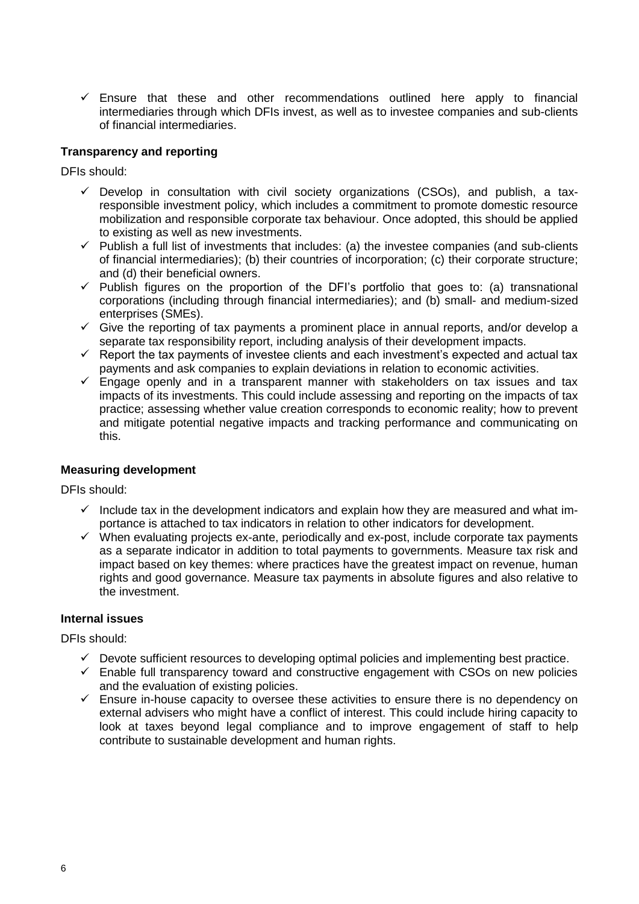$\checkmark$  Ensure that these and other recommendations outlined here apply to financial intermediaries through which DFIs invest, as well as to investee companies and sub-clients of financial intermediaries.

#### **Transparency and reporting**

DFIs should:

- $\checkmark$  Develop in consultation with civil society organizations (CSOs), and publish, a taxresponsible investment policy, which includes a commitment to promote domestic resource mobilization and responsible corporate tax behaviour. Once adopted, this should be applied to existing as well as new investments.
- $\checkmark$  Publish a full list of investments that includes: (a) the investee companies (and sub-clients of financial intermediaries); (b) their countries of incorporation; (c) their corporate structure; and (d) their beneficial owners.
- $\checkmark$  Publish figures on the proportion of the DFI's portfolio that goes to: (a) transnational corporations (including through financial intermediaries); and (b) small- and medium-sized enterprises (SMEs).
- $\checkmark$  Give the reporting of tax payments a prominent place in annual reports, and/or develop a separate tax responsibility report, including analysis of their development impacts.
- $\checkmark$  Report the tax payments of investee clients and each investment's expected and actual tax payments and ask companies to explain deviations in relation to economic activities.
- $\checkmark$  Engage openly and in a transparent manner with stakeholders on tax issues and tax impacts of its investments. This could include assessing and reporting on the impacts of tax practice; assessing whether value creation corresponds to economic reality; how to prevent and mitigate potential negative impacts and tracking performance and communicating on this.

#### **Measuring development**

DFIs should:

- $\checkmark$  Include tax in the development indicators and explain how they are measured and what importance is attached to tax indicators in relation to other indicators for development.
- $\checkmark$  When evaluating projects ex-ante, periodically and ex-post, include corporate tax payments as a separate indicator in addition to total payments to governments. Measure tax risk and impact based on key themes: where practices have the greatest impact on revenue, human rights and good governance. Measure tax payments in absolute figures and also relative to the investment.

#### **Internal issues**

DFIs should:

- $\checkmark$  Devote sufficient resources to developing optimal policies and implementing best practice.
- $\checkmark$  Enable full transparency toward and constructive engagement with CSOs on new policies and the evaluation of existing policies.
- $\checkmark$  Ensure in-house capacity to oversee these activities to ensure there is no dependency on external advisers who might have a conflict of interest. This could include hiring capacity to look at taxes beyond legal compliance and to improve engagement of staff to help contribute to sustainable development and human rights.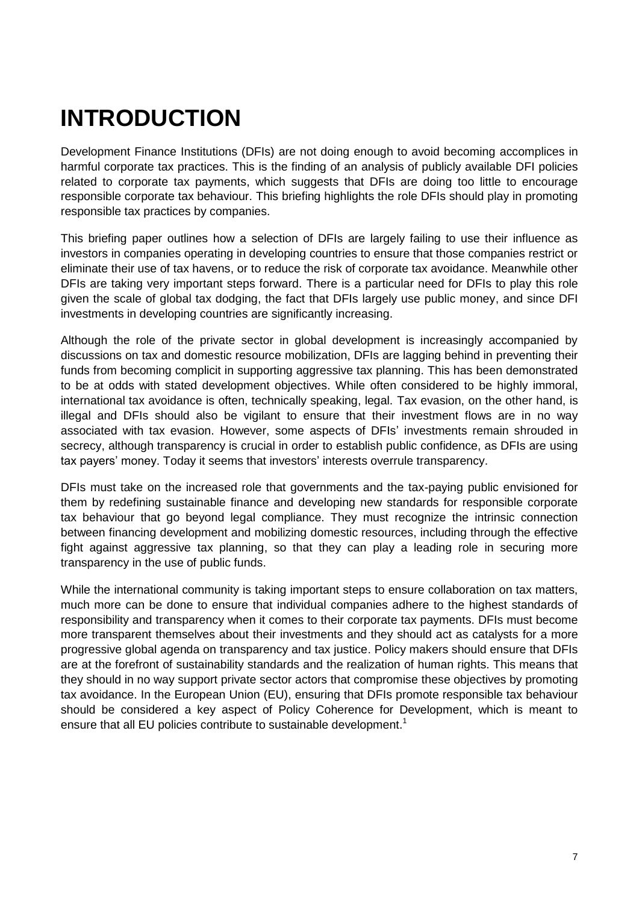# <span id="page-6-0"></span>**INTRODUCTION**

Development Finance Institutions (DFIs) are not doing enough to avoid becoming accomplices in harmful corporate tax practices. This is the finding of an analysis of publicly available DFI policies related to corporate tax payments, which suggests that DFIs are doing too little to encourage responsible corporate tax behaviour. This briefing highlights the role DFIs should play in promoting responsible tax practices by companies.

This briefing paper outlines how a selection of DFIs are largely failing to use their influence as investors in companies operating in developing countries to ensure that those companies restrict or eliminate their use of tax havens, or to reduce the risk of corporate tax avoidance. Meanwhile other DFIs are taking very important steps forward. There is a particular need for DFIs to play this role given the scale of global tax dodging, the fact that DFIs largely use public money, and since DFI investments in developing countries are significantly increasing.

Although the role of the private sector in global development is increasingly accompanied by discussions on tax and domestic resource mobilization, DFIs are lagging behind in preventing their funds from becoming complicit in supporting aggressive tax planning. This has been demonstrated to be at odds with stated development objectives. While often considered to be highly immoral, international tax avoidance is often, technically speaking, legal. Tax evasion, on the other hand, is illegal and DFIs should also be vigilant to ensure that their investment flows are in no way associated with tax evasion. However, some aspects of DFIs' investments remain shrouded in secrecy, although transparency is crucial in order to establish public confidence, as DFIs are using tax payers' money. Today it seems that investors' interests overrule transparency.

DFIs must take on the increased role that governments and the tax-paying public envisioned for them by redefining sustainable finance and developing new standards for responsible corporate tax behaviour that go beyond legal compliance. They must recognize the intrinsic connection between financing development and mobilizing domestic resources, including through the effective fight against aggressive tax planning, so that they can play a leading role in securing more transparency in the use of public funds.

While the international community is taking important steps to ensure collaboration on tax matters, much more can be done to ensure that individual companies adhere to the highest standards of responsibility and transparency when it comes to their corporate tax payments. DFIs must become more transparent themselves about their investments and they should act as catalysts for a more progressive global agenda on transparency and tax justice. Policy makers should ensure that DFIs are at the forefront of sustainability standards and the realization of human rights. This means that they should in no way support private sector actors that compromise these objectives by promoting tax avoidance. In the European Union (EU), ensuring that DFIs promote responsible tax behaviour should be considered a key aspect of Policy Coherence for Development, which is meant to ensure that all EU policies contribute to sustainable development.<sup>1</sup>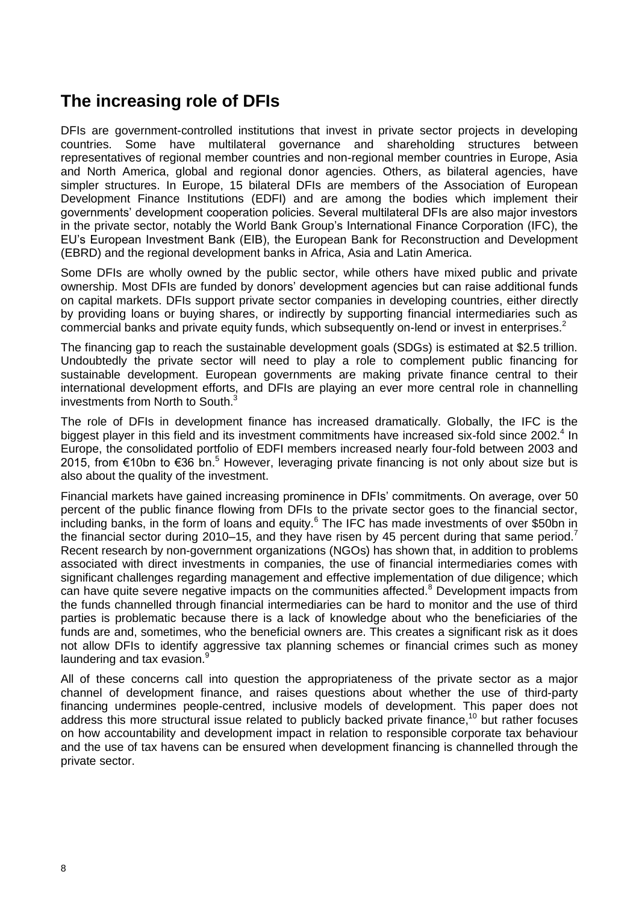# <span id="page-7-0"></span>**The increasing role of DFIs**

DFIs are government-controlled institutions that invest in private sector projects in developing countries. Some have multilateral governance and shareholding structures between representatives of regional member countries and non-regional member countries in Europe, Asia and North America, global and regional donor agencies. Others, as bilateral agencies, have simpler structures. In Europe, 15 bilateral DFIs are members of the Association of European Development Finance Institutions (EDFI) and are among the bodies which implement their governments" development cooperation policies. Several multilateral DFIs are also major investors in the private sector, notably the World Bank Group"s International Finance Corporation (IFC), the EU"s European Investment Bank (EIB), the European Bank for Reconstruction and Development (EBRD) and the regional development banks in Africa, Asia and Latin America.

Some DFIs are wholly owned by the public sector, while others have mixed public and private ownership. Most DFIs are funded by donors" development agencies but can raise additional funds on capital markets. DFIs support private sector companies in developing countries, either directly by providing loans or buying shares, or indirectly by supporting financial intermediaries such as commercial banks and private equity funds, which subsequently on-lend or invest in enterprises.<sup>2</sup>

The financing gap to reach the sustainable development goals (SDGs) is estimated at \$2.5 trillion. Undoubtedly the private sector will need to play a role to complement public financing for sustainable development. European governments are making private finance central to their international development efforts, and DFIs are playing an ever more central role in channelling investments from North to South.<sup>3</sup>

The role of DFIs in development finance has increased dramatically. Globally, the IFC is the biggest player in this field and its investment commitments have increased six-fold since 2002.<sup>4</sup> In Europe, the consolidated portfolio of EDFI members increased nearly four-fold between 2003 and 2015, from €10bn to €36 bn.<sup>5</sup> However, leveraging private financing is not only about size but is also about the quality of the investment.

Financial markets have gained increasing prominence in DFIs' commitments. On average, over 50 percent of the public finance flowing from DFIs to the private sector goes to the financial sector, including banks, in the form of loans and equity.<sup>6</sup> The IFC has made investments of over \$50bn in the financial sector during 2010–15, and they have risen by 45 percent during that same period.<sup>7</sup> Recent research by non-government organizations (NGOs) has shown that, in addition to problems associated with direct investments in companies, the use of financial intermediaries comes with significant challenges regarding management and effective implementation of due diligence; which can have quite severe negative impacts on the communities affected.<sup>8</sup> Development impacts from the funds channelled through financial intermediaries can be hard to monitor and the use of third parties is problematic because there is a lack of knowledge about who the beneficiaries of the funds are and, sometimes, who the beneficial owners are. This creates a significant risk as it does not allow DFIs to identify aggressive tax planning schemes or financial crimes such as money laundering and tax evasion.<sup>9</sup>

All of these concerns call into question the appropriateness of the private sector as a major channel of development finance, and raises questions about whether the use of third-party financing undermines people-centred, inclusive models of development. This paper does not address this more structural issue related to publicly backed private finance,<sup>10</sup> but rather focuses on how accountability and development impact in relation to responsible corporate tax behaviour and the use of tax havens can be ensured when development financing is channelled through the private sector.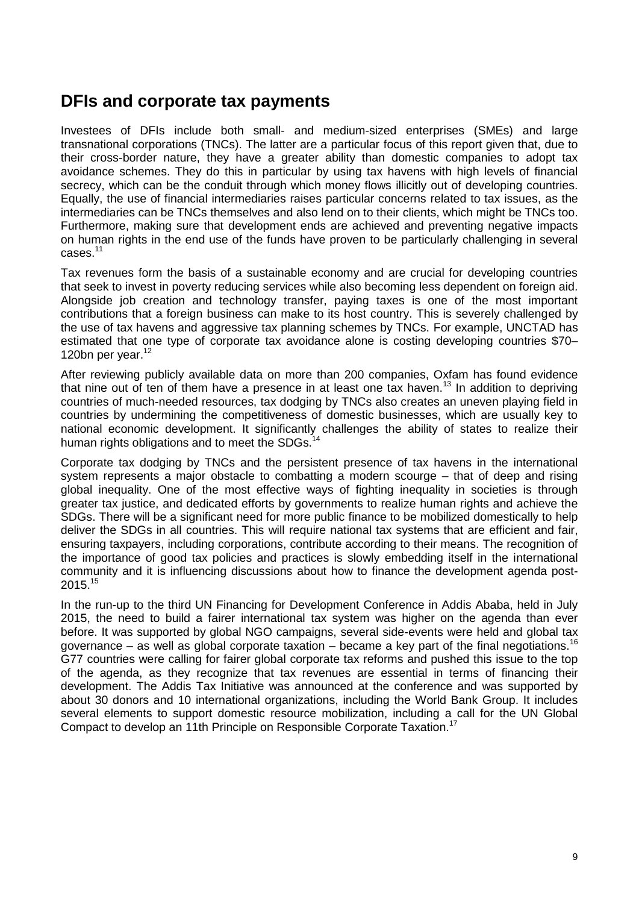## <span id="page-8-0"></span>**DFIs and corporate tax payments**

Investees of DFIs include both small- and medium-sized enterprises (SMEs) and large transnational corporations (TNCs). The latter are a particular focus of this report given that, due to their cross-border nature, they have a greater ability than domestic companies to adopt tax avoidance schemes. They do this in particular by using tax havens with high levels of financial secrecy, which can be the conduit through which money flows illicitly out of developing countries. Equally, the use of financial intermediaries raises particular concerns related to tax issues, as the intermediaries can be TNCs themselves and also lend on to their clients, which might be TNCs too. Furthermore, making sure that development ends are achieved and preventing negative impacts on human rights in the end use of the funds have proven to be particularly challenging in several cases.<sup>11</sup>

Tax revenues form the basis of a sustainable economy and are crucial for developing countries that seek to invest in poverty reducing services while also becoming less dependent on foreign aid. Alongside job creation and technology transfer, paying taxes is one of the most important contributions that a foreign business can make to its host country. This is severely challenged by the use of tax havens and aggressive tax planning schemes by TNCs. For example, UNCTAD has estimated that one type of corporate tax avoidance alone is costing developing countries \$70– 120bn per year. 12

After reviewing publicly available data on more than 200 companies, Oxfam has found evidence that nine out of ten of them have a presence in at least one tax haven.<sup>13</sup> In addition to depriving countries of much-needed resources, tax dodging by TNCs also creates an uneven playing field in countries by undermining the competitiveness of domestic businesses, which are usually key to national economic development. It significantly challenges the ability of states to realize their human rights obligations and to meet the SDGs.<sup>1</sup>

Corporate tax dodging by TNCs and the persistent presence of tax havens in the international system represents a major obstacle to combatting a modern scourge – that of deep and rising global inequality. One of the most effective ways of fighting inequality in societies is through greater tax justice, and dedicated efforts by governments to realize human rights and achieve the SDGs. There will be a significant need for more public finance to be mobilized domestically to help deliver the SDGs in all countries. This will require national tax systems that are efficient and fair, ensuring taxpayers, including corporations, contribute according to their means. The recognition of the importance of good tax policies and practices is slowly embedding itself in the international community and it is influencing discussions about how to finance the development agenda post- $2015.<sup>15</sup>$ 

In the run-up to the third UN Financing for Development Conference in Addis Ababa, held in July 2015, the need to build a fairer international tax system was higher on the agenda than ever before. It was supported by global NGO campaigns, several side-events were held and global tax governance – as well as global corporate taxation – became a key part of the final negotiations.<sup>16</sup> G77 countries were calling for fairer global corporate tax reforms and pushed this issue to the top of the agenda, as they recognize that tax revenues are essential in terms of financing their development. The Addis Tax Initiative was announced at the conference and was supported by about 30 donors and 10 international organizations, including the World Bank Group. It includes several elements to support domestic resource mobilization, including a call for the UN Global Compact to develop an 11th Principle on Responsible Corporate Taxation.<sup>17</sup>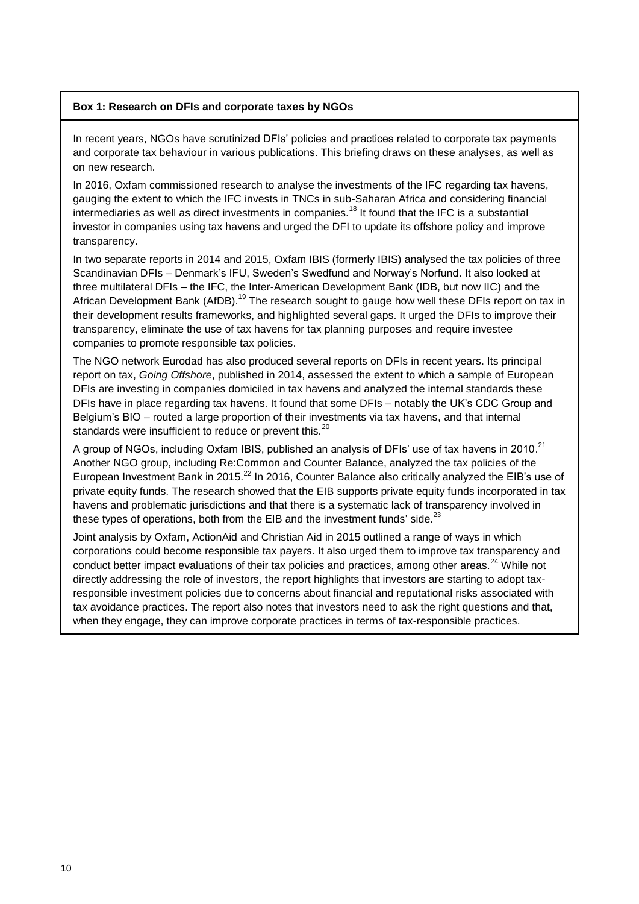#### <span id="page-9-0"></span>**Box 1: Research on DFIs and corporate taxes by NGOs**

In recent years, NGOs have scrutinized DFIs" policies and practices related to corporate tax payments and corporate tax behaviour in various publications. This briefing draws on these analyses, as well as on new research.

In 2016, Oxfam commissioned research to analyse the investments of the IFC regarding tax havens, gauging the extent to which the IFC invests in TNCs in sub-Saharan Africa and considering financial intermediaries as well as direct investments in companies.<sup>18</sup> It found that the IFC is a substantial investor in companies using tax havens and urged the DFI to update its offshore policy and improve transparency.

In two separate reports in 2014 and 2015, Oxfam IBIS (formerly IBIS) analysed the tax policies of three Scandinavian DFIs – Denmark"s IFU, Sweden"s Swedfund and Norway"s Norfund. It also looked at three multilateral DFIs – the IFC, the Inter-American Development Bank (IDB, but now IIC) and the African Development Bank (AfDB).<sup>19</sup> The research sought to gauge how well these DFIs report on tax in their development results frameworks, and highlighted several gaps. It urged the DFIs to improve their transparency, eliminate the use of tax havens for tax planning purposes and require investee companies to promote responsible tax policies.

The NGO network Eurodad has also produced several reports on DFIs in recent years. Its principal report on tax, *Going Offshore*, published in 2014, assessed the extent to which a sample of European DFIs are investing in companies domiciled in tax havens and analyzed the internal standards these DFIs have in place regarding tax havens. It found that some DFIs – notably the UK"s CDC Group and Belgium"s BIO – routed a large proportion of their investments via tax havens, and that internal standards were insufficient to reduce or prevent this.<sup>20</sup>

A group of NGOs, including Oxfam IBIS, published an analysis of DFIs' use of tax havens in 2010.<sup>21</sup> Another NGO group, including Re:Common and Counter Balance, analyzed the tax policies of the European Investment Bank in 2015.<sup>22</sup> In 2016, Counter Balance also critically analyzed the EIB's use of private equity funds. The research showed that the EIB supports private equity funds incorporated in tax havens and problematic jurisdictions and that there is a systematic lack of transparency involved in these types of operations, both from the EIB and the investment funds' side.<sup>23</sup>

Joint analysis by Oxfam, ActionAid and Christian Aid in 2015 outlined a range of ways in which corporations could become responsible tax payers. It also urged them to improve tax transparency and conduct better impact evaluations of their tax policies and practices, among other areas.<sup>24</sup> While not directly addressing the role of investors, the report highlights that investors are starting to adopt taxresponsible investment policies due to concerns about financial and reputational risks associated with tax avoidance practices. The report also notes that investors need to ask the right questions and that, when they engage, they can improve corporate practices in terms of tax-responsible practices.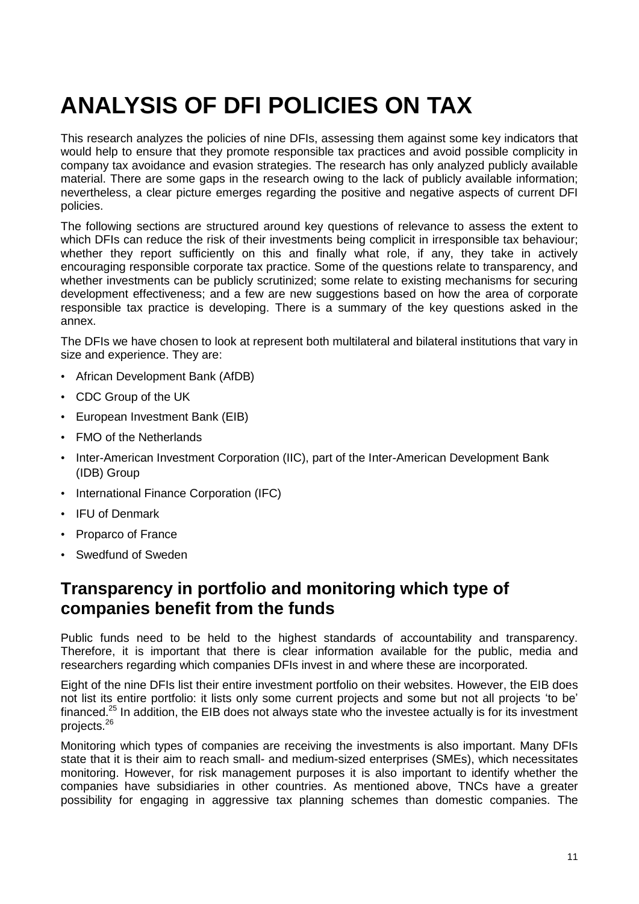# <span id="page-10-0"></span>**ANALYSIS OF DFI POLICIES ON TAX**

This research analyzes the policies of nine DFIs, assessing them against some key indicators that would help to ensure that they promote responsible tax practices and avoid possible complicity in company tax avoidance and evasion strategies. The research has only analyzed publicly available material. There are some gaps in the research owing to the lack of publicly available information; nevertheless, a clear picture emerges regarding the positive and negative aspects of current DFI policies.

The following sections are structured around key questions of relevance to assess the extent to which DFIs can reduce the risk of their investments being complicit in irresponsible tax behaviour; whether they report sufficiently on this and finally what role, if any, they take in actively encouraging responsible corporate tax practice. Some of the questions relate to transparency, and whether investments can be publicly scrutinized; some relate to existing mechanisms for securing development effectiveness; and a few are new suggestions based on how the area of corporate responsible tax practice is developing. There is a summary of the key questions asked in the annex.

The DFIs we have chosen to look at represent both multilateral and bilateral institutions that vary in size and experience. They are:

- African Development Bank (AfDB)
- CDC Group of the UK
- European Investment Bank (EIB)
- FMO of the Netherlands
- Inter-American Investment Corporation (IIC), part of the Inter-American Development Bank (IDB) Group
- International Finance Corporation (IFC)
- IFU of Denmark
- Proparco of France
- <span id="page-10-1"></span>• Swedfund of Sweden

# **Transparency in portfolio and monitoring which type of companies benefit from the funds**

Public funds need to be held to the highest standards of accountability and transparency. Therefore, it is important that there is clear information available for the public, media and researchers regarding which companies DFIs invest in and where these are incorporated.

Eight of the nine DFIs list their entire investment portfolio on their websites. However, the EIB does not list its entire portfolio: it lists only some current projects and some but not all projects "to be" financed.<sup>25</sup> In addition, the EIB does not always state who the investee actually is for its investment projects.<sup>26</sup>

Monitoring which types of companies are receiving the investments is also important. Many DFIs state that it is their aim to reach small- and medium-sized enterprises (SMEs), which necessitates monitoring. However, for risk management purposes it is also important to identify whether the companies have subsidiaries in other countries. As mentioned above, TNCs have a greater possibility for engaging in aggressive tax planning schemes than domestic companies. The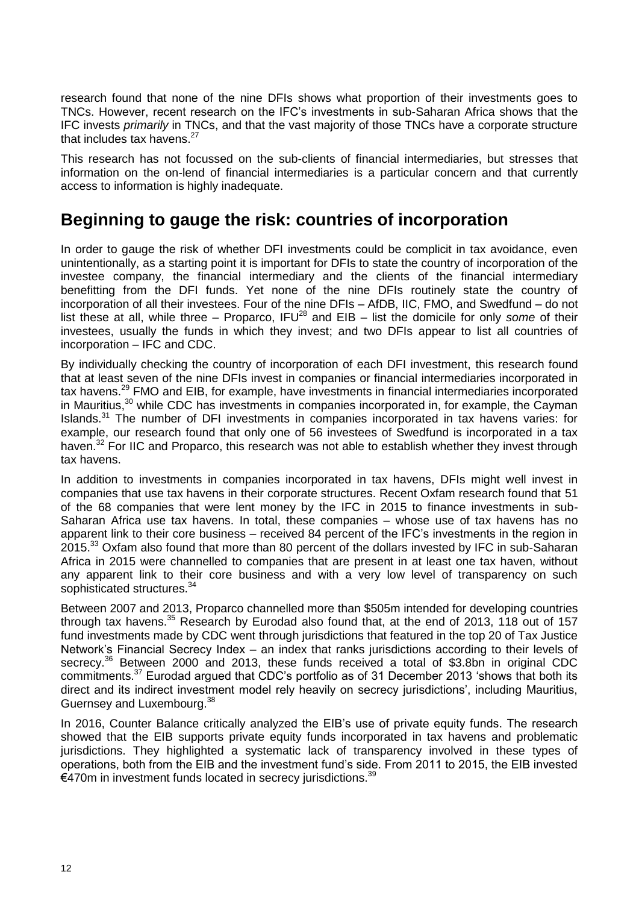research found that none of the nine DFIs shows what proportion of their investments goes to TNCs. However, recent research on the IFC"s investments in sub-Saharan Africa shows that the IFC invests *primarily* in TNCs, and that the vast majority of those TNCs have a corporate structure that includes tax havens.<sup>27</sup>

This research has not focussed on the sub-clients of financial intermediaries, but stresses that information on the on-lend of financial intermediaries is a particular concern and that currently access to information is highly inadequate.

## <span id="page-11-0"></span>**Beginning to gauge the risk: countries of incorporation**

In order to gauge the risk of whether DFI investments could be complicit in tax avoidance, even unintentionally, as a starting point it is important for DFIs to state the country of incorporation of the investee company, the financial intermediary and the clients of the financial intermediary benefitting from the DFI funds. Yet none of the nine DFIs routinely state the country of incorporation of all their investees. Four of the nine DFIs – AfDB, IIC, FMO, and Swedfund – do not list these at all, while three – Proparco, IFU<sup>28</sup> and EIB – list the domicile for only *some* of their investees, usually the funds in which they invest; and two DFIs appear to list all countries of incorporation – IFC and CDC.

By individually checking the country of incorporation of each DFI investment, this research found that at least seven of the nine DFIs invest in companies or financial intermediaries incorporated in tax havens.<sup>29</sup> FMO and EIB, for example, have investments in financial intermediaries incorporated in Mauritius,<sup>30</sup> while CDC has investments in companies incorporated in, for example, the Cayman Islands.<sup>31</sup> The number of DFI investments in companies incorporated in tax havens varies: for example, our research found that only one of 56 investees of Swedfund is incorporated in a tax haven.<sup>32</sup> For IIC and Proparco, this research was not able to establish whether they invest through tax havens.

In addition to investments in companies incorporated in tax havens, DFIs might well invest in companies that use tax havens in their corporate structures. Recent Oxfam research found that 51 of the 68 companies that were lent money by the IFC in 2015 to finance investments in sub-Saharan Africa use tax havens. In total, these companies – whose use of tax havens has no apparent link to their core business – received 84 percent of the IFC"s investments in the region in 2015.<sup>33</sup> Oxfam also found that more than 80 percent of the dollars invested by IFC in sub-Saharan Africa in 2015 were channelled to companies that are present in at least one tax haven, without any apparent link to their core business and with a very low level of transparency on such sophisticated structures.<sup>34</sup>

Between 2007 and 2013, Proparco channelled more than \$505m intended for developing countries through tax havens.<sup>35</sup> Research by Eurodad also found that, at the end of 2013, 118 out of 157 fund investments made by CDC went through jurisdictions that featured in the top 20 of Tax Justice Network"s Financial Secrecy Index – an index that ranks jurisdictions according to their levels of secrecy.<sup>36</sup> Between 2000 and 2013, these funds received a total of \$3.8bn in original CDC commitments.<sup>37</sup> Eurodad argued that CDC"s portfolio as of 31 December 2013 "shows that both its direct and its indirect investment model rely heavily on secrecy jurisdictions", including Mauritius, Guernsey and Luxembourg.<sup>38</sup>

In 2016, Counter Balance critically analyzed the EIB's use of private equity funds. The research showed that the EIB supports private equity funds incorporated in tax havens and problematic jurisdictions. They highlighted a systematic lack of transparency involved in these types of operations, both from the EIB and the investment fund"s side. From 2011 to 2015, the EIB invested €470m in investment funds located in secrecy jurisdictions. $39$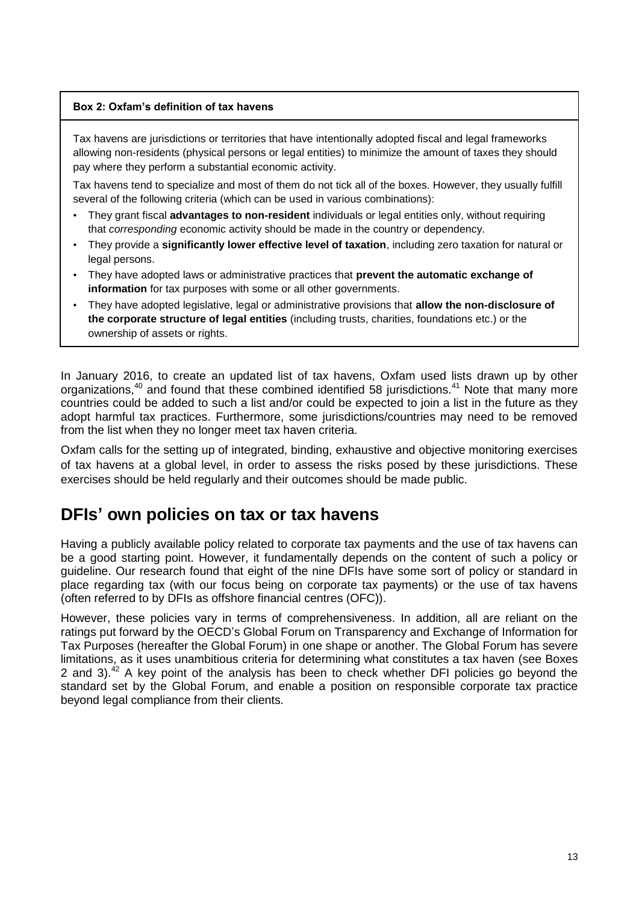#### <span id="page-12-0"></span>**Box 2: Oxfam's definition of tax havens**

Tax havens are jurisdictions or territories that have intentionally adopted fiscal and legal frameworks allowing non-residents (physical persons or legal entities) to minimize the amount of taxes they should pay where they perform a substantial economic activity.

Tax havens tend to specialize and most of them do not tick all of the boxes. However, they usually fulfill several of the following criteria (which can be used in various combinations):

- They grant fiscal **advantages to non-resident** individuals or legal entities only, without requiring that *corresponding* economic activity should be made in the country or dependency.
- They provide a **significantly lower effective level of taxation**, including zero taxation for natural or legal persons.
- They have adopted laws or administrative practices that **prevent the automatic exchange of information** for tax purposes with some or all other governments.
- They have adopted legislative, legal or administrative provisions that **allow the non-disclosure of the corporate structure of legal entities** (including trusts, charities, foundations etc.) or the ownership of assets or rights.

In January 2016, to create an updated list of tax havens, Oxfam used lists drawn up by other organizations,<sup>40</sup> and found that these combined identified 58 jurisdictions.<sup>41</sup> Note that many more countries could be added to such a list and/or could be expected to join a list in the future as they adopt harmful tax practices. Furthermore, some jurisdictions/countries may need to be removed from the list when they no longer meet tax haven criteria.

Oxfam calls for the setting up of integrated, binding, exhaustive and objective monitoring exercises of tax havens at a global level, in order to assess the risks posed by these jurisdictions. These exercises should be held regularly and their outcomes should be made public.

## <span id="page-12-1"></span>**DFIs' own policies on tax or tax havens**

Having a publicly available policy related to corporate tax payments and the use of tax havens can be a good starting point. However, it fundamentally depends on the content of such a policy or guideline. Our research found that eight of the nine DFIs have some sort of policy or standard in place regarding tax (with our focus being on corporate tax payments) or the use of tax havens (often referred to by DFIs as offshore financial centres (OFC)).

However, these policies vary in terms of comprehensiveness. In addition, all are reliant on the ratings put forward by the OECD"s Global Forum on Transparency and Exchange of Information for Tax Purposes (hereafter the Global Forum) in one shape or another. The Global Forum has severe limitations, as it uses unambitious criteria for determining what constitutes a tax haven (see Boxes 2 and 3).<sup>42</sup> A key point of the analysis has been to check whether DFI policies go beyond the standard set by the Global Forum, and enable a position on responsible corporate tax practice beyond legal compliance from their clients.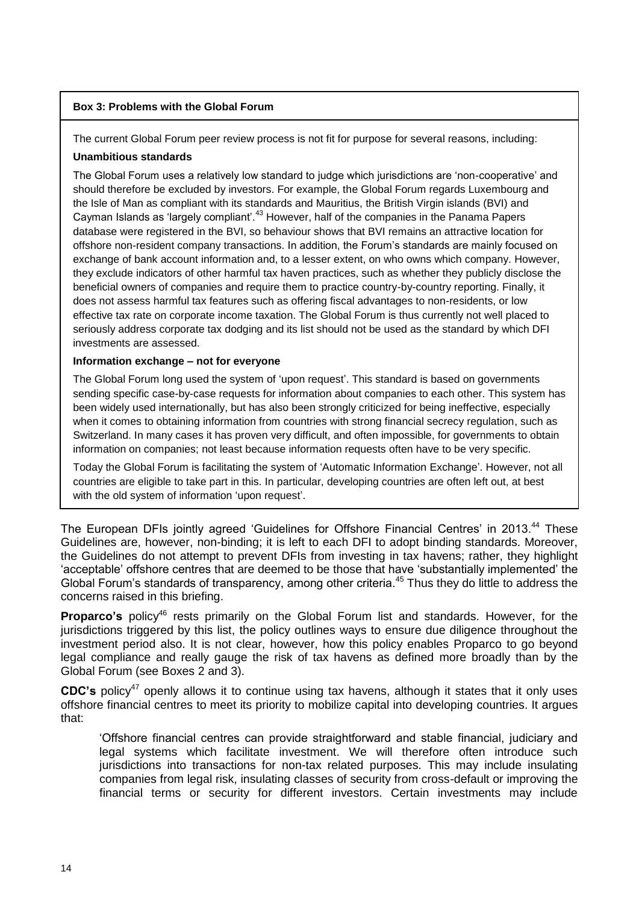#### <span id="page-13-0"></span>**Box 3: Problems with the Global Forum**

The current Global Forum peer review process is not fit for purpose for several reasons, including:

#### **Unambitious standards**

The Global Forum uses a relatively low standard to judge which jurisdictions are "non-cooperative" and should therefore be excluded by investors. For example, the Global Forum regards Luxembourg and the Isle of Man as compliant with its standards and Mauritius, the British Virgin islands (BVI) and Cayman Islands as "largely compliant".<sup>43</sup> However, half of the companies in the Panama Papers database were registered in the BVI, so behaviour shows that BVI remains an attractive location for offshore non-resident company transactions. In addition, the Forum"s standards are mainly focused on exchange of bank account information and, to a lesser extent, on who owns which company. However, they exclude indicators of other harmful tax haven practices, such as whether they publicly disclose the beneficial owners of companies and require them to practice country-by-country reporting. Finally, it does not assess harmful tax features such as offering fiscal advantages to non-residents, or low effective tax rate on corporate income taxation. The Global Forum is thus currently not well placed to seriously address corporate tax dodging and its list should not be used as the standard by which DFI investments are assessed.

#### **Information exchange – not for everyone**

The Global Forum long used the system of 'upon request'. This standard is based on governments sending specific case-by-case requests for information about companies to each other. This system has been widely used internationally, but has also been strongly criticized for being ineffective, especially when it comes to obtaining information from countries with strong financial secrecy regulation, such as Switzerland. In many cases it has proven very difficult, and often impossible, for governments to obtain information on companies; not least because information requests often have to be very specific.

Today the Global Forum is facilitating the system of "Automatic Information Exchange". However, not all countries are eligible to take part in this. In particular, developing countries are often left out, at best with the old system of information 'upon request'.

The European DFIs jointly agreed 'Guidelines for Offshore Financial Centres' in 2013.<sup>44</sup> These Guidelines are, however, non-binding; it is left to each DFI to adopt binding standards. Moreover, the Guidelines do not attempt to prevent DFIs from investing in tax havens; rather, they highlight "acceptable" offshore centres that are deemed to be those that have "substantially implemented" the Global Forum's standards of transparency, among other criteria.<sup>45</sup> Thus they do little to address the concerns raised in this briefing.

**Proparco's** policy<sup>46</sup> rests primarily on the Global Forum list and standards. However, for the jurisdictions triggered by this list, the policy outlines ways to ensure due diligence throughout the investment period also. It is not clear, however, how this policy enables Proparco to go beyond legal compliance and really gauge the risk of tax havens as defined more broadly than by the Global Forum (see Boxes 2 and 3).

**CDC's** policy<sup>47</sup> openly allows it to continue using tax havens, although it states that it only uses offshore financial centres to meet its priority to mobilize capital into developing countries. It argues that:

"Offshore financial centres can provide straightforward and stable financial, judiciary and legal systems which facilitate investment. We will therefore often introduce such jurisdictions into transactions for non-tax related purposes. This may include insulating companies from legal risk, insulating classes of security from cross-default or improving the financial terms or security for different investors. Certain investments may include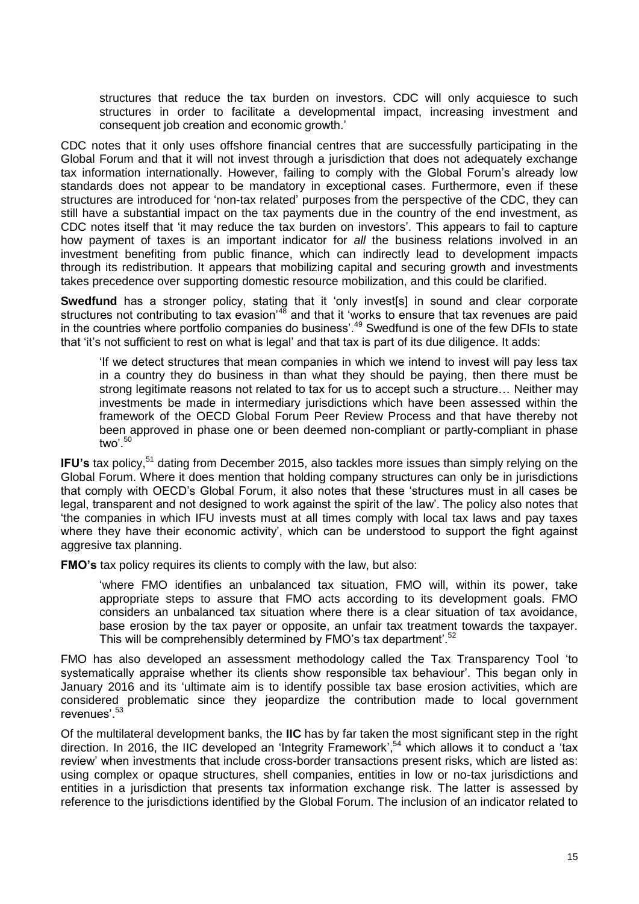structures that reduce the tax burden on investors. CDC will only acquiesce to such structures in order to facilitate a developmental impact, increasing investment and consequent job creation and economic growth."

CDC notes that it only uses offshore financial centres that are successfully participating in the Global Forum and that it will not invest through a jurisdiction that does not adequately exchange tax information internationally. However, failing to comply with the Global Forum"s already low standards does not appear to be mandatory in exceptional cases. Furthermore, even if these structures are introduced for "non-tax related" purposes from the perspective of the CDC, they can still have a substantial impact on the tax payments due in the country of the end investment, as CDC notes itself that 'it may reduce the tax burden on investors'. This appears to fail to capture how payment of taxes is an important indicator for *all* the business relations involved in an investment benefiting from public finance, which can indirectly lead to development impacts through its redistribution. It appears that mobilizing capital and securing growth and investments takes precedence over supporting domestic resource mobilization, and this could be clarified.

**Swedfund** has a stronger policy, stating that it 'only invest[s] in sound and clear corporate structures not contributing to tax evasion<sup>48</sup> and that it 'works to ensure that tax revenues are paid in the countries where portfolio companies do business'.<sup>49</sup> Swedfund is one of the few DFIs to state that "it"s not sufficient to rest on what is legal" and that tax is part of its due diligence. It adds:

"If we detect structures that mean companies in which we intend to invest will pay less tax in a country they do business in than what they should be paying, then there must be strong legitimate reasons not related to tax for us to accept such a structure… Neither may investments be made in intermediary jurisdictions which have been assessed within the framework of the OECD Global Forum Peer Review Process and that have thereby not been approved in phase one or been deemed non-compliant or partly-compliant in phase two'. $50$ 

**IFU's** tax policy,<sup>51</sup> dating from December 2015, also tackles more issues than simply relying on the Global Forum. Where it does mention that holding company structures can only be in jurisdictions that comply with OECD"s Global Forum, it also notes that these "structures must in all cases be legal, transparent and not designed to work against the spirit of the law". The policy also notes that "the companies in which IFU invests must at all times comply with local tax laws and pay taxes where they have their economic activity', which can be understood to support the fight against aggresive tax planning.

**FMO's** tax policy requires its clients to comply with the law, but also:

'where FMO identifies an unbalanced tax situation, FMO will, within its power, take appropriate steps to assure that FMO acts according to its development goals. FMO considers an unbalanced tax situation where there is a clear situation of tax avoidance, base erosion by the tax payer or opposite, an unfair tax treatment towards the taxpayer. This will be comprehensibly determined by FMO's tax department'.<sup>52</sup>

FMO has also developed an assessment methodology called the Tax Transparency Tool "to systematically appraise whether its clients show responsible tax behaviour'. This began only in January 2016 and its "ultimate aim is to identify possible tax base erosion activities, which are considered problematic since they jeopardize the contribution made to local government revenues<sup>' 53</sup>

Of the multilateral development banks, the **IIC** has by far taken the most significant step in the right direction. In 2016, the IIC developed an "Integrity Framework", <sup>54</sup> which allows it to conduct a "tax review" when investments that include cross-border transactions present risks, which are listed as: using complex or opaque structures, shell companies, entities in low or no-tax jurisdictions and entities in a jurisdiction that presents tax information exchange risk. The latter is assessed by reference to the jurisdictions identified by the Global Forum. The inclusion of an indicator related to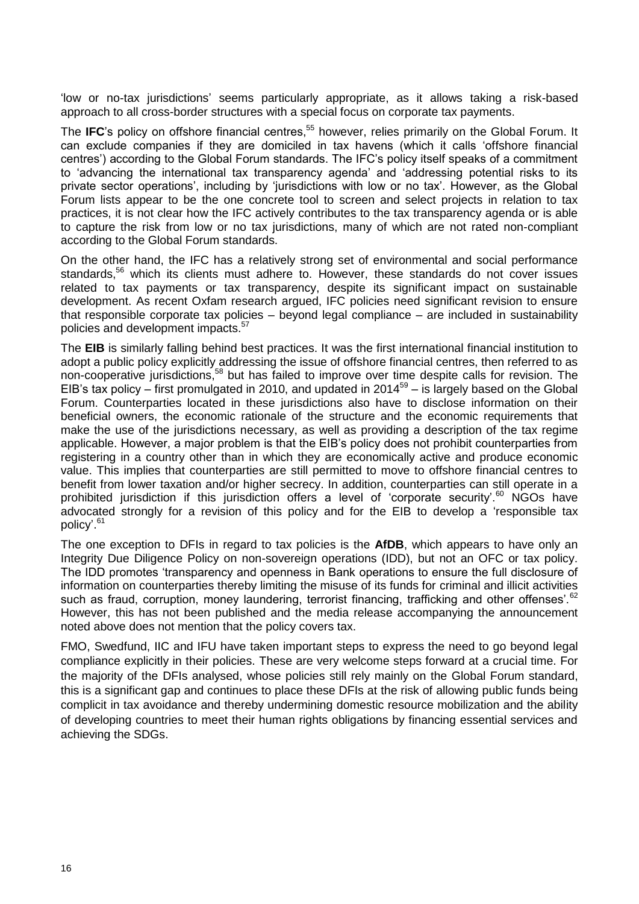"low or no-tax jurisdictions" seems particularly appropriate, as it allows taking a risk-based approach to all cross-border structures with a special focus on corporate tax payments.

The **IFC**"s policy on offshore financial centres, <sup>55</sup> however, relies primarily on the Global Forum. It can exclude companies if they are domiciled in tax havens (which it calls "offshore financial centres") according to the Global Forum standards. The IFC"s policy itself speaks of a commitment to "advancing the international tax transparency agenda" and "addressing potential risks to its private sector operations", including by "jurisdictions with low or no tax". However, as the Global Forum lists appear to be the one concrete tool to screen and select projects in relation to tax practices, it is not clear how the IFC actively contributes to the tax transparency agenda or is able to capture the risk from low or no tax jurisdictions, many of which are not rated non-compliant according to the Global Forum standards.

On the other hand, the IFC has a relatively strong set of environmental and social performance standards,<sup>56</sup> which its clients must adhere to. However, these standards do not cover issues related to tax payments or tax transparency, despite its significant impact on sustainable development. As recent Oxfam research argued, IFC policies need significant revision to ensure that responsible corporate tax policies – beyond legal compliance – are included in sustainability policies and development impacts.<sup>57</sup>

The **EIB** is similarly falling behind best practices. It was the first international financial institution to adopt a public policy explicitly addressing the issue of offshore financial centres, then referred to as non-cooperative jurisdictions, <sup>58</sup> but has failed to improve over time despite calls for revision. The EIB's tax policy – first promulgated in 2010, and updated in  $2014^{59}$  – is largely based on the Global Forum. Counterparties located in these jurisdictions also have to disclose information on their beneficial owners, the economic rationale of the structure and the economic requirements that make the use of the jurisdictions necessary, as well as providing a description of the tax regime applicable. However, a major problem is that the EIB"s policy does not prohibit counterparties from registering in a country other than in which they are economically active and produce economic value. This implies that counterparties are still permitted to move to offshore financial centres to benefit from lower taxation and/or higher secrecy. In addition, counterparties can still operate in a prohibited jurisdiction if this jurisdiction offers a level of 'corporate security'.<sup>60</sup> NGOs have advocated strongly for a revision of this policy and for the EIB to develop a "responsible tax policy'.<sup>61</sup>

The one exception to DFIs in regard to tax policies is the **AfDB**, which appears to have only an Integrity Due Diligence Policy on non-sovereign operations (IDD), but not an OFC or tax policy. The IDD promotes "transparency and openness in Bank operations to ensure the full disclosure of information on counterparties thereby limiting the misuse of its funds for criminal and illicit activities such as fraud, corruption, money laundering, terrorist financing, trafficking and other offenses'.<sup>62</sup> However, this has not been published and the media release accompanying the announcement noted above does not mention that the policy covers tax.

FMO, Swedfund, IIC and IFU have taken important steps to express the need to go beyond legal compliance explicitly in their policies. These are very welcome steps forward at a crucial time. For the majority of the DFIs analysed, whose policies still rely mainly on the Global Forum standard, this is a significant gap and continues to place these DFIs at the risk of allowing public funds being complicit in tax avoidance and thereby undermining domestic resource mobilization and the ability of developing countries to meet their human rights obligations by financing essential services and achieving the SDGs.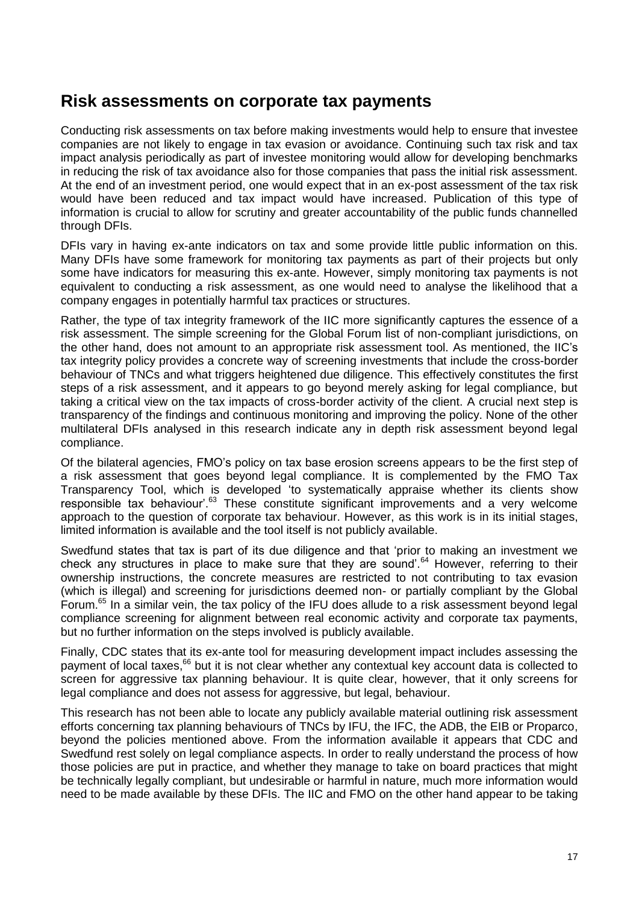### <span id="page-16-0"></span>**Risk assessments on corporate tax payments**

Conducting risk assessments on tax before making investments would help to ensure that investee companies are not likely to engage in tax evasion or avoidance. Continuing such tax risk and tax impact analysis periodically as part of investee monitoring would allow for developing benchmarks in reducing the risk of tax avoidance also for those companies that pass the initial risk assessment. At the end of an investment period, one would expect that in an ex-post assessment of the tax risk would have been reduced and tax impact would have increased. Publication of this type of information is crucial to allow for scrutiny and greater accountability of the public funds channelled through DFIs.

DFIs vary in having ex-ante indicators on tax and some provide little public information on this. Many DFIs have some framework for monitoring tax payments as part of their projects but only some have indicators for measuring this ex-ante. However, simply monitoring tax payments is not equivalent to conducting a risk assessment, as one would need to analyse the likelihood that a company engages in potentially harmful tax practices or structures.

Rather, the type of tax integrity framework of the IIC more significantly captures the essence of a risk assessment. The simple screening for the Global Forum list of non-compliant jurisdictions, on the other hand, does not amount to an appropriate risk assessment tool. As mentioned, the IIC"s tax integrity policy provides a concrete way of screening investments that include the cross-border behaviour of TNCs and what triggers heightened due diligence. This effectively constitutes the first steps of a risk assessment, and it appears to go beyond merely asking for legal compliance, but taking a critical view on the tax impacts of cross-border activity of the client. A crucial next step is transparency of the findings and continuous monitoring and improving the policy. None of the other multilateral DFIs analysed in this research indicate any in depth risk assessment beyond legal compliance.

Of the bilateral agencies, FMO"s policy on tax base erosion screens appears to be the first step of a risk assessment that goes beyond legal compliance. It is complemented by the FMO Tax Transparency Tool, which is developed "to systematically appraise whether its clients show responsible tax behaviour".<sup>63</sup> These constitute significant improvements and a very welcome approach to the question of corporate tax behaviour. However, as this work is in its initial stages, limited information is available and the tool itself is not publicly available.

Swedfund states that tax is part of its due diligence and that "prior to making an investment we check any structures in place to make sure that they are sound<sup>'.64</sup> However, referring to their ownership instructions, the concrete measures are restricted to not contributing to tax evasion (which is illegal) and screening for jurisdictions deemed non- or partially compliant by the Global Forum.<sup>65</sup> In a similar vein, the tax policy of the IFU does allude to a risk assessment beyond legal compliance screening for alignment between real economic activity and corporate tax payments, but no further information on the steps involved is publicly available.

Finally, CDC states that its ex-ante tool for measuring development impact includes assessing the payment of local taxes,<sup>66</sup> but it is not clear whether any contextual key account data is collected to screen for aggressive tax planning behaviour. It is quite clear, however, that it only screens for legal compliance and does not assess for aggressive, but legal, behaviour.

This research has not been able to locate any publicly available material outlining risk assessment efforts concerning tax planning behaviours of TNCs by IFU, the IFC, the ADB, the EIB or Proparco, beyond the policies mentioned above. From the information available it appears that CDC and Swedfund rest solely on legal compliance aspects. In order to really understand the process of how those policies are put in practice, and whether they manage to take on board practices that might be technically legally compliant, but undesirable or harmful in nature, much more information would need to be made available by these DFIs. The IIC and FMO on the other hand appear to be taking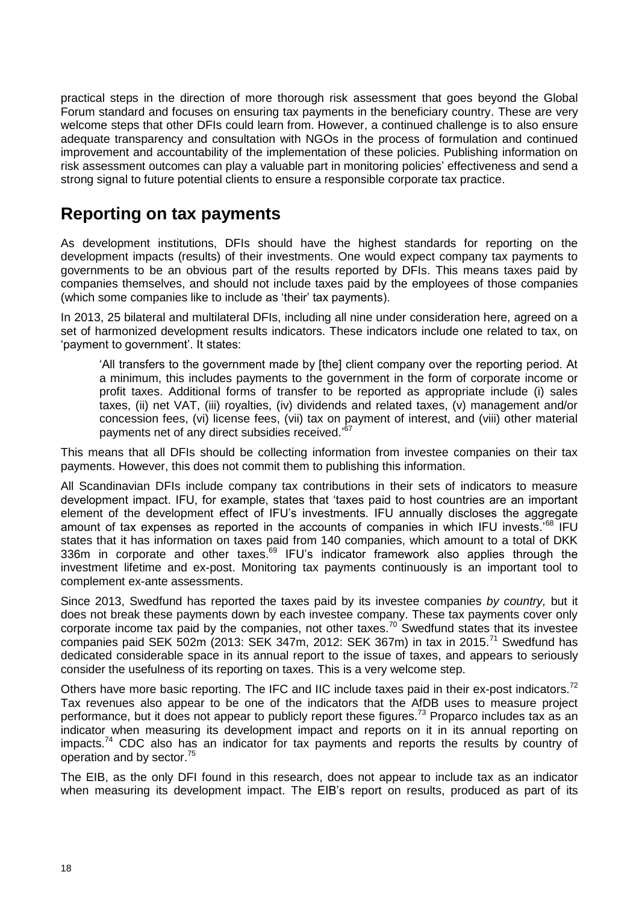practical steps in the direction of more thorough risk assessment that goes beyond the Global Forum standard and focuses on ensuring tax payments in the beneficiary country. These are very welcome steps that other DFIs could learn from. However, a continued challenge is to also ensure adequate transparency and consultation with NGOs in the process of formulation and continued improvement and accountability of the implementation of these policies. Publishing information on risk assessment outcomes can play a valuable part in monitoring policies' effectiveness and send a strong signal to future potential clients to ensure a responsible corporate tax practice.

## <span id="page-17-0"></span>**Reporting on tax payments**

As development institutions, DFIs should have the highest standards for reporting on the development impacts (results) of their investments. One would expect company tax payments to governments to be an obvious part of the results reported by DFIs. This means taxes paid by companies themselves, and should not include taxes paid by the employees of those companies (which some companies like to include as "their" tax payments).

In 2013, 25 bilateral and multilateral DFIs, including all nine under consideration here, agreed on a set of harmonized development results indicators. These indicators include one related to tax, on "payment to government". It states:

"All transfers to the government made by [the] client company over the reporting period. At a minimum, this includes payments to the government in the form of corporate income or profit taxes. Additional forms of transfer to be reported as appropriate include (i) sales taxes, (ii) net VAT, (iii) royalties, (iv) dividends and related taxes, (v) management and/or concession fees, (vi) license fees, (vii) tax on payment of interest, and (viii) other material payments net of any direct subsidies received.'67

This means that all DFIs should be collecting information from investee companies on their tax payments. However, this does not commit them to publishing this information.

All Scandinavian DFIs include company tax contributions in their sets of indicators to measure development impact. IFU, for example, states that "taxes paid to host countries are an important element of the development effect of IFU"s investments. IFU annually discloses the aggregate amount of tax expenses as reported in the accounts of companies in which IFU invests.<sup>68</sup> IFU states that it has information on taxes paid from 140 companies, which amount to a total of DKK 336m in corporate and other taxes.<sup>69</sup> IFU's indicator framework also applies through the investment lifetime and ex-post. Monitoring tax payments continuously is an important tool to complement ex-ante assessments.

Since 2013, Swedfund has reported the taxes paid by its investee companies *by country,* but it does not break these payments down by each investee company. These tax payments cover only corporate income tax paid by the companies, not other taxes.<sup>70</sup> Swedfund states that its investee companies paid SEK 502m (2013: SEK 347m, 2012: SEK 367m) in tax in 2015.<sup>71</sup> Swedfund has dedicated considerable space in its annual report to the issue of taxes, and appears to seriously consider the usefulness of its reporting on taxes. This is a very welcome step.

Others have more basic reporting. The IFC and IIC include taxes paid in their ex-post indicators.<sup>72</sup> Tax revenues also appear to be one of the indicators that the AfDB uses to measure project performance, but it does not appear to publicly report these figures.<sup>73</sup> Proparco includes tax as an indicator when measuring its development impact and reports on it in its annual reporting on impacts.<sup>74</sup> CDC also has an indicator for tax payments and reports the results by country of operation and by sector.<sup>75</sup>

The EIB, as the only DFI found in this research, does not appear to include tax as an indicator when measuring its development impact. The EIB's report on results, produced as part of its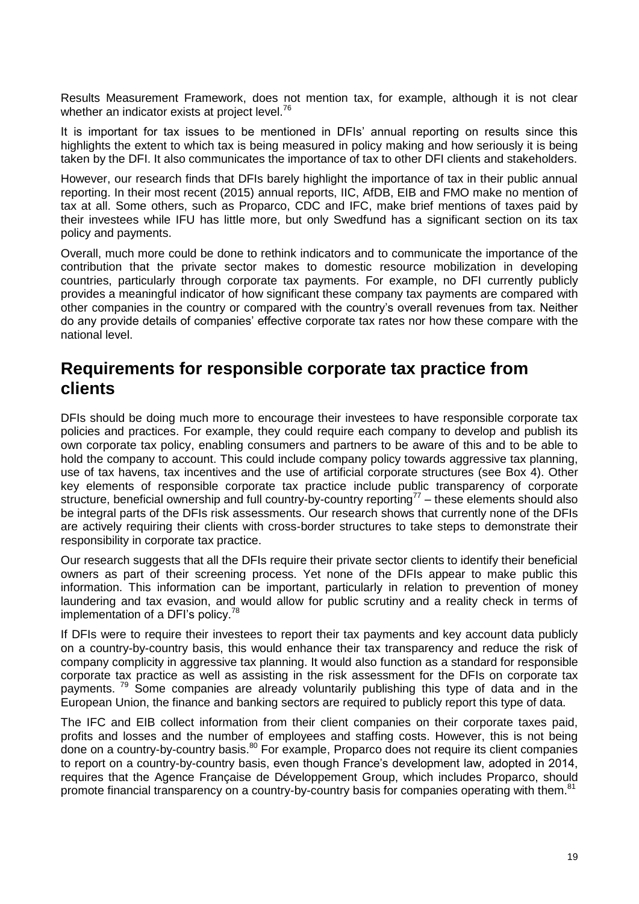Results Measurement Framework, does not mention tax, for example, although it is not clear whether an indicator exists at project level.<sup>76</sup>

It is important for tax issues to be mentioned in DFIs" annual reporting on results since this highlights the extent to which tax is being measured in policy making and how seriously it is being taken by the DFI. It also communicates the importance of tax to other DFI clients and stakeholders.

However, our research finds that DFIs barely highlight the importance of tax in their public annual reporting. In their most recent (2015) annual reports, IIC, AfDB, EIB and FMO make no mention of tax at all. Some others, such as Proparco, CDC and IFC, make brief mentions of taxes paid by their investees while IFU has little more, but only Swedfund has a significant section on its tax policy and payments.

Overall, much more could be done to rethink indicators and to communicate the importance of the contribution that the private sector makes to domestic resource mobilization in developing countries, particularly through corporate tax payments. For example, no DFI currently publicly provides a meaningful indicator of how significant these company tax payments are compared with other companies in the country or compared with the country"s overall revenues from tax. Neither do any provide details of companies' effective corporate tax rates nor how these compare with the national level.

## <span id="page-18-0"></span>**Requirements for responsible corporate tax practice from clients**

DFIs should be doing much more to encourage their investees to have responsible corporate tax policies and practices. For example, they could require each company to develop and publish its own corporate tax policy, enabling consumers and partners to be aware of this and to be able to hold the company to account. This could include company policy towards aggressive tax planning, use of tax havens, tax incentives and the use of artificial corporate structures (see Box 4). Other key elements of responsible corporate tax practice include public transparency of corporate structure, beneficial ownership and full country-by-country reporting<sup>77</sup> – these elements should also be integral parts of the DFIs risk assessments. Our research shows that currently none of the DFIs are actively requiring their clients with cross-border structures to take steps to demonstrate their responsibility in corporate tax practice.

Our research suggests that all the DFIs require their private sector clients to identify their beneficial owners as part of their screening process. Yet none of the DFIs appear to make public this information. This information can be important, particularly in relation to prevention of money laundering and tax evasion, and would allow for public scrutiny and a reality check in terms of implementation of a DFI's policy.<sup>78</sup>

If DFIs were to require their investees to report their tax payments and key account data publicly on a country-by-country basis, this would enhance their tax transparency and reduce the risk of company complicity in aggressive tax planning. It would also function as a standard for responsible corporate tax practice as well as assisting in the risk assessment for the DFIs on corporate tax payments.<sup>79</sup> Some companies are already voluntarily publishing this type of data and in the European Union, the finance and banking sectors are required to publicly report this type of data.

The IFC and EIB collect information from their client companies on their corporate taxes paid, profits and losses and the number of employees and staffing costs. However, this is not being done on a country-by-country basis.<sup>80</sup> For example, Proparco does not require its client companies to report on a country-by-country basis, even though France"s development law, adopted in 2014, requires that the Agence Française de Développement Group, which includes Proparco, should promote financial transparency on a country-by-country basis for companies operating with them.<sup>81</sup>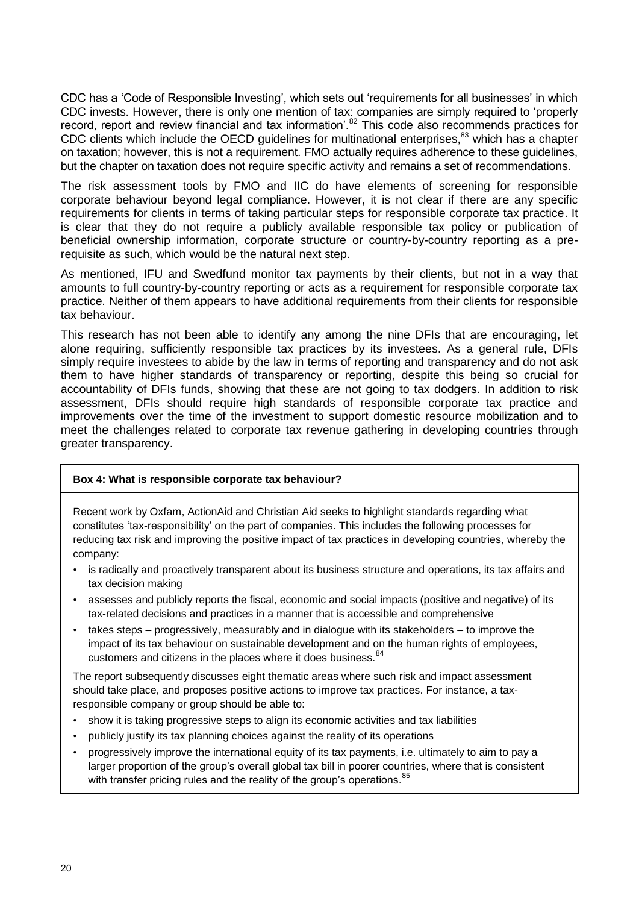CDC has a "Code of Responsible Investing", which sets out "requirements for all businesses" in which CDC invests. However, there is only one mention of tax: companies are simply required to "properly record, report and review financial and tax information'.<sup>82</sup> This code also recommends practices for CDC clients which include the OECD guidelines for multinational enterprises,<sup>83</sup> which has a chapter on taxation; however, this is not a requirement. FMO actually requires adherence to these guidelines, but the chapter on taxation does not require specific activity and remains a set of recommendations.

The risk assessment tools by FMO and IIC do have elements of screening for responsible corporate behaviour beyond legal compliance. However, it is not clear if there are any specific requirements for clients in terms of taking particular steps for responsible corporate tax practice. It is clear that they do not require a publicly available responsible tax policy or publication of beneficial ownership information, corporate structure or country-by-country reporting as a prerequisite as such, which would be the natural next step.

As mentioned, IFU and Swedfund monitor tax payments by their clients, but not in a way that amounts to full country-by-country reporting or acts as a requirement for responsible corporate tax practice. Neither of them appears to have additional requirements from their clients for responsible tax behaviour.

This research has not been able to identify any among the nine DFIs that are encouraging, let alone requiring, sufficiently responsible tax practices by its investees. As a general rule, DFIs simply require investees to abide by the law in terms of reporting and transparency and do not ask them to have higher standards of transparency or reporting, despite this being so crucial for accountability of DFIs funds, showing that these are not going to tax dodgers. In addition to risk assessment, DFIs should require high standards of responsible corporate tax practice and improvements over the time of the investment to support domestic resource mobilization and to meet the challenges related to corporate tax revenue gathering in developing countries through greater transparency.

#### <span id="page-19-0"></span>**Box 4: What is responsible corporate tax behaviour?**

Recent work by Oxfam, ActionAid and Christian Aid seeks to highlight standards regarding what constitutes "tax-responsibility" on the part of companies. This includes the following processes for reducing tax risk and improving the positive impact of tax practices in developing countries, whereby the company:

- is radically and proactively transparent about its business structure and operations, its tax affairs and tax decision making
- assesses and publicly reports the fiscal, economic and social impacts (positive and negative) of its tax-related decisions and practices in a manner that is accessible and comprehensive
- takes steps progressively, measurably and in dialogue with its stakeholders to improve the impact of its tax behaviour on sustainable development and on the human rights of employees, customers and citizens in the places where it does business. 84

The report subsequently discusses eight thematic areas where such risk and impact assessment should take place, and proposes positive actions to improve tax practices. For instance, a taxresponsible company or group should be able to:

- show it is taking progressive steps to align its economic activities and tax liabilities
- publicly justify its tax planning choices against the reality of its operations
- progressively improve the international equity of its tax payments, i.e. ultimately to aim to pay a larger proportion of the group's overall global tax bill in poorer countries, where that is consistent with transfer pricing rules and the reality of the group's operations.<sup>85</sup>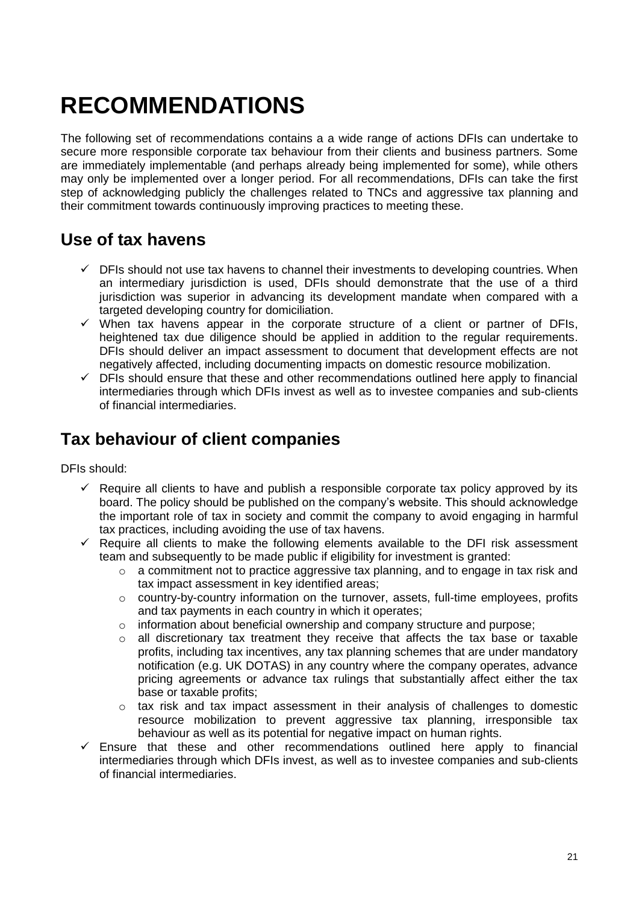# <span id="page-20-0"></span>**RECOMMENDATIONS**

The following set of recommendations contains a a wide range of actions DFIs can undertake to secure more responsible corporate tax behaviour from their clients and business partners. Some are immediately implementable (and perhaps already being implemented for some), while others may only be implemented over a longer period. For all recommendations, DFIs can take the first step of acknowledging publicly the challenges related to TNCs and aggressive tax planning and their commitment towards continuously improving practices to meeting these.

# <span id="page-20-1"></span>**Use of tax havens**

- $\checkmark$  DFIs should not use tax havens to channel their investments to developing countries. When an intermediary jurisdiction is used, DFIs should demonstrate that the use of a third jurisdiction was superior in advancing its development mandate when compared with a targeted developing country for domiciliation.
- $\checkmark$  When tax havens appear in the corporate structure of a client or partner of DFIs. heightened tax due diligence should be applied in addition to the regular requirements. DFIs should deliver an impact assessment to document that development effects are not negatively affected, including documenting impacts on domestic resource mobilization.
- $\checkmark$  DFIs should ensure that these and other recommendations outlined here apply to financial intermediaries through which DFIs invest as well as to investee companies and sub-clients of financial intermediaries.

# <span id="page-20-2"></span>**Tax behaviour of client companies**

DFIs should:

- $\checkmark$  Require all clients to have and publish a responsible corporate tax policy approved by its board. The policy should be published on the company"s website. This should acknowledge the important role of tax in society and commit the company to avoid engaging in harmful tax practices, including avoiding the use of tax havens.
- $\checkmark$  Require all clients to make the following elements available to the DFI risk assessment team and subsequently to be made public if eligibility for investment is granted:
	- o a commitment not to practice aggressive tax planning, and to engage in tax risk and tax impact assessment in key identified areas;
	- $\circ$  country-by-country information on the turnover, assets, full-time employees, profits and tax payments in each country in which it operates;
	- o information about beneficial ownership and company structure and purpose;
	- $\circ$  all discretionary tax treatment they receive that affects the tax base or taxable profits, including tax incentives, any tax planning schemes that are under mandatory notification (e.g. UK DOTAS) in any country where the company operates, advance pricing agreements or advance tax rulings that substantially affect either the tax base or taxable profits;
	- $\circ$  tax risk and tax impact assessment in their analysis of challenges to domestic resource mobilization to prevent aggressive tax planning, irresponsible tax behaviour as well as its potential for negative impact on human rights.
- $\checkmark$  Ensure that these and other recommendations outlined here apply to financial intermediaries through which DFIs invest, as well as to investee companies and sub-clients of financial intermediaries.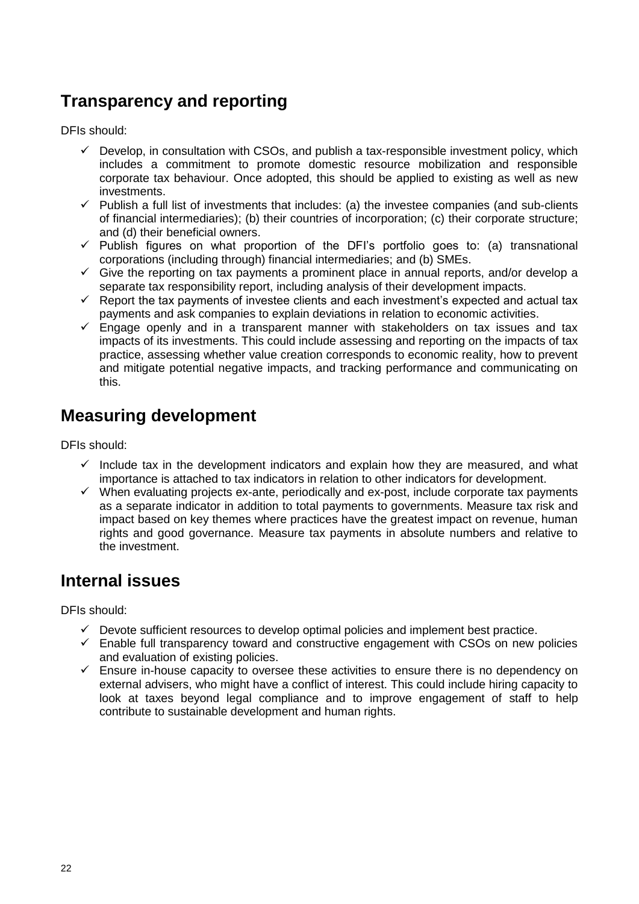# <span id="page-21-0"></span>**Transparency and reporting**

DFIs should:

- $\checkmark$  Develop, in consultation with CSOs, and publish a tax-responsible investment policy, which includes a commitment to promote domestic resource mobilization and responsible corporate tax behaviour. Once adopted, this should be applied to existing as well as new investments.
- $\checkmark$  Publish a full list of investments that includes: (a) the investee companies (and sub-clients of financial intermediaries); (b) their countries of incorporation; (c) their corporate structure; and (d) their beneficial owners.
- $\checkmark$  Publish figures on what proportion of the DFI's portfolio goes to: (a) transnational corporations (including through) financial intermediaries; and (b) SMEs.
- $\checkmark$  Give the reporting on tax payments a prominent place in annual reports, and/or develop a separate tax responsibility report, including analysis of their development impacts.
- $\checkmark$  Report the tax payments of investee clients and each investment's expected and actual tax payments and ask companies to explain deviations in relation to economic activities.
- $\checkmark$  Engage openly and in a transparent manner with stakeholders on tax issues and tax impacts of its investments. This could include assessing and reporting on the impacts of tax practice, assessing whether value creation corresponds to economic reality, how to prevent and mitigate potential negative impacts, and tracking performance and communicating on this.

# <span id="page-21-1"></span>**Measuring development**

DFIs should:

- $\checkmark$  Include tax in the development indicators and explain how they are measured, and what importance is attached to tax indicators in relation to other indicators for development.
- $\checkmark$  When evaluating projects ex-ante, periodically and ex-post, include corporate tax payments as a separate indicator in addition to total payments to governments. Measure tax risk and impact based on key themes where practices have the greatest impact on revenue, human rights and good governance. Measure tax payments in absolute numbers and relative to the investment.

# <span id="page-21-2"></span>**Internal issues**

DFIs should:

- $\checkmark$  Devote sufficient resources to develop optimal policies and implement best practice.
- $\checkmark$  Enable full transparency toward and constructive engagement with CSOs on new policies and evaluation of existing policies.
- $\checkmark$  Ensure in-house capacity to oversee these activities to ensure there is no dependency on external advisers, who might have a conflict of interest. This could include hiring capacity to look at taxes beyond legal compliance and to improve engagement of staff to help contribute to sustainable development and human rights.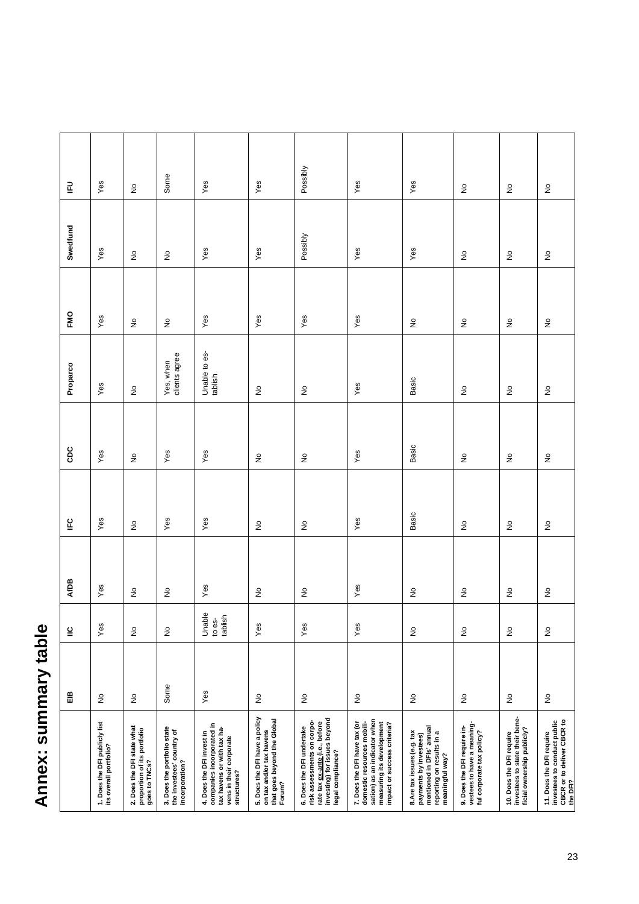# Annex: summary table **Annex: summary table**

<span id="page-22-0"></span>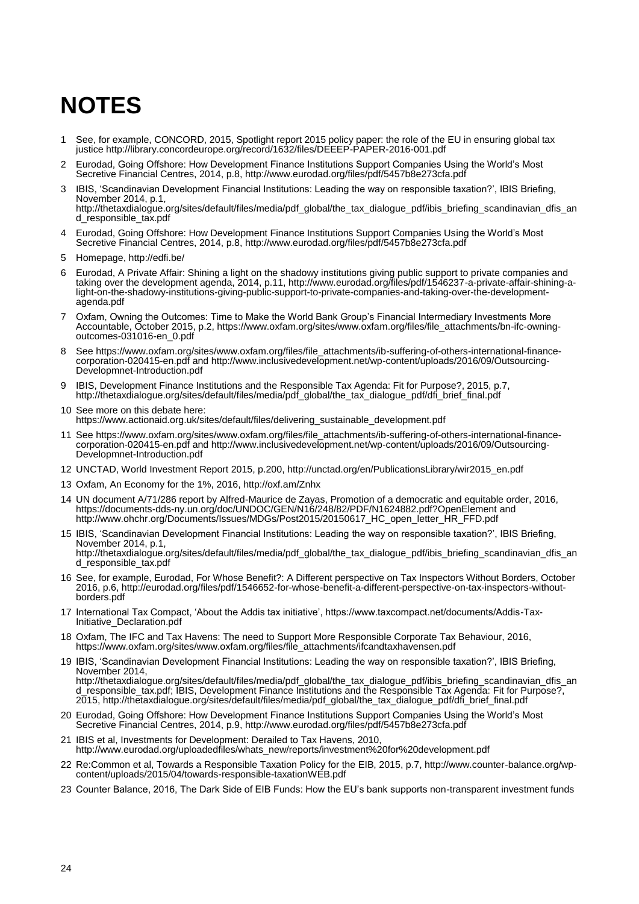# <span id="page-23-0"></span>**NOTES**

- 1 See, for example, CONCORD, 2015, Spotlight report 2015 policy paper: the role of the EU in ensuring global tax justice<http://library.concordeurope.org/record/1632/files/DEEEP-PAPER-2016-001.pdf>
- 2 Eurodad, Going Offshore: How Development Finance Institutions Support Companies Using the World"s Most Secretive Financial Centres, 2014, p.8,<http://www.eurodad.org/files/pdf/5457b8e273cfa.pdf>
- 3 IBIS, "Scandinavian Development Financial Institutions: Leading the way on responsible taxation?", IBIS Briefing, November 2014, p.1, [http://thetaxdialogue.org/sites/default/files/media/pdf\\_global/the\\_tax\\_dialogue\\_pdf/ibis\\_briefing\\_scandinavian\\_dfis\\_an](http://thetaxdialogue.org/sites/default/files/media/pdf_global/the_tax_dialogue_pdf/ibis_briefing_scandinavian_dfis_and_responsible_tax.pdf) [d\\_responsible\\_tax.pdf](http://thetaxdialogue.org/sites/default/files/media/pdf_global/the_tax_dialogue_pdf/ibis_briefing_scandinavian_dfis_and_responsible_tax.pdf)
- 4 Eurodad, Going Offshore: How Development Finance Institutions Support Companies Using the World"s Most Secretive Financial Centres, 2014, p.8,<http://www.eurodad.org/files/pdf/5457b8e273cfa.pdf>
- 5 Homepage,<http://edfi.be/>
- 6 Eurodad, A Private Affair: Shining a light on the shadowy institutions giving public support to private companies and taking over the development agenda, 2014, p.11, http://www.eurodad.org/files/pdf/1546237-a-private-affair-shining-alight-on-the-shadowy-institutions-giving-public-support-to-private-companies-and-taking-over-the-developmentagenda.pdf
- 7 Oxfam, Owning the Outcomes: Time to Make the World Bank Group"s Financial Intermediary Investments More Accountable, October 2015, p.2, https://www.oxfam.org/sites/www.oxfam.org/files/file\_attachments/bn-ifc-owningoutcomes-031016-en\_0.pdf
- 8 See https://www.oxfam.org/sites/www.oxfam.org/files/file\_attachments/ib-suffering-of-others-international-financecorporation-020415-en.pdf and http://www.inclusivedevelopment.net/wp-content/uploads/2016/09/Outsourcing-Developmnet-Introduction.pdf
- 9 IBIS, Development Finance Institutions and the Responsible Tax Agenda: Fit for Purpose?, 2015, p.7, [http://thetaxdialogue.org/sites/default/files/media/pdf\\_global/the\\_tax\\_dialogue\\_pdf/dfi\\_brief\\_final.pdf](http://thetaxdialogue.org/sites/default/files/media/pdf_global/the_tax_dialogue_pdf/dfi_brief_final.pdf)
- 10 See more on this debate here: [https://www.actionaid.org.uk/sites/default/files/delivering\\_sustainable\\_development.pdf](https://www.actionaid.org.uk/sites/default/files/delivering_sustainable_development.pdf)
- 11 See https://www.oxfam.org/sites/www.oxfam.org/files/file\_attachments/ib-suffering-of-others-international-financecorporation-020415-en.pdf and http://www.inclusivedevelopment.net/wp-content/uploads/2016/09/Outsourcing-Developmnet-Introduction.pdf
- 12 UNCTAD, World Investment Report 2015, p.200, http://unctad.org/en/PublicationsLibrary/wir2015\_en.pdf
- 13 Oxfam, An Economy for the 1%, 2016, http://oxf.am/Znhx
- 14 UN document A/71/286 report by Alfred-Maurice de Zayas, Promotion of a democratic and equitable order, 2016, https://documents-dds-ny.un.org/doc/UNDOC/GEN/N16/248/82/PDF/N1624882.pdf?OpenElement and [http://www.ohchr.org/Documents/Issues/MDGs/Post2015/20150617\\_HC\\_open\\_letter\\_HR\\_FFD.pdf](http://www.ohchr.org/Documents/Issues/MDGs/Post2015/20150617_HC_open_letter_HR_FFD.pdf)
- 15 IBIS, "Scandinavian Development Financial Institutions: Leading the way on responsible taxation?", IBIS Briefing, November 2014, p.1, [http://thetaxdialogue.org/sites/default/files/media/pdf\\_global/the\\_tax\\_dialogue\\_pdf/ibis\\_briefing\\_scandinavian\\_dfis\\_an](http://thetaxdialogue.org/sites/default/files/media/pdf_global/the_tax_dialogue_pdf/ibis_briefing_scandinavian_dfis_and_responsible_tax.pdf) [d\\_responsible\\_tax.pdf](http://thetaxdialogue.org/sites/default/files/media/pdf_global/the_tax_dialogue_pdf/ibis_briefing_scandinavian_dfis_and_responsible_tax.pdf)
- 16 See, for example, Eurodad, For Whose Benefit?: A Different perspective on Tax Inspectors Without Borders, October 2016, p.6, http://eurodad.org/files/pdf/1546652-for-whose-benefit-a-different-perspective-on-tax-inspectors-withoutborders.pdf
- 17 International Tax Compact, "About the Addis tax initiative", https://www.taxcompact.net/documents/Addis-Tax-Initiative\_Declaration.pdf
- 18 Oxfam, The IFC and Tax Havens: The need to Support More Responsible Corporate Tax Behaviour, 2016, [https://www.oxfam.org/sites/www.oxfam.org/files/file\\_attachments/ifcandtaxhavensen.pdf](https://www.oxfam.org/sites/www.oxfam.org/files/file_attachments/ifcandtaxhavensen.pdf)
- 19 IBIS, "Scandinavian Development Financial Institutions: Leading the way on responsible taxation?", IBIS Briefing, November 2014, [http://thetaxdialogue.org/sites/default/files/media/pdf\\_global/the\\_tax\\_dialogue\\_pdf/ibis\\_briefing\\_scandinavian\\_dfis\\_an](http://thetaxdialogue.org/sites/default/files/media/pdf_global/the_tax_dialogue_pdf/ibis_briefing_scandinavian_dfis_and_responsible_tax.pdf) [d\\_responsible\\_tax.pdf;](http://thetaxdialogue.org/sites/default/files/media/pdf_global/the_tax_dialogue_pdf/ibis_briefing_scandinavian_dfis_and_responsible_tax.pdf) IBIS, Development Finance Institutions and the Responsible Tax Agenda: Fit for Purpose?, 2015, [http://thetaxdialogue.org/sites/default/files/media/pdf\\_global/the\\_tax\\_dialogue\\_pdf/dfi\\_brief\\_final.pdf](http://thetaxdialogue.org/sites/default/files/media/pdf_global/the_tax_dialogue_pdf/dfi_brief_final.pdf)
- 20 Eurodad, Going Offshore: How Development Finance Institutions Support Companies Using the World"s Most Secretive Financial Centres, 2014, p.9,<http://www.eurodad.org/files/pdf/5457b8e273cfa.pdf>
- 21 IBIS et al, Investments for Development: Derailed to Tax Havens, 2010, http://www.eurodad.org/uploadedfiles/whats\_new/reports/investment%20for%20development.pdf
- 22 Re:Common et al, Towards a Responsible Taxation Policy for the EIB, 2015, p.7, http://www.counter-balance.org/wpcontent/uploads/2015/04/towards-responsible-taxationWEB.pdf
- 23 Counter Balance, 2016, The Dark Side of EIB Funds: How the EU"s bank supports non-transparent investment funds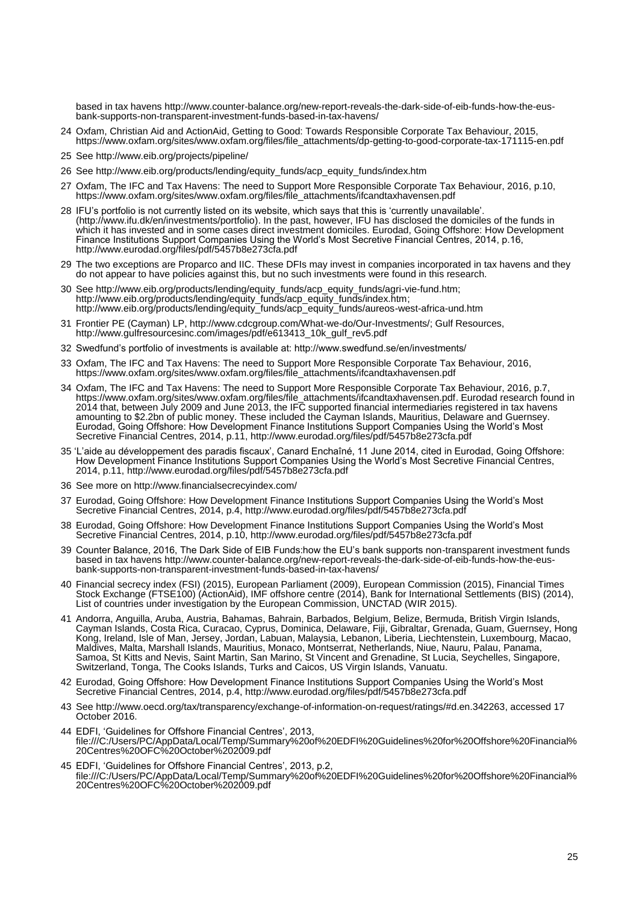based in tax havens [http://www.counter-balance.org/new-report-reveals-the-dark-side-of-eib-funds-how-the-eus](http://www.counter-balance.org/new-report-reveals-the-dark-side-of-eib-funds-how-the-eus-bank-supports-non-transparent-investment-funds-based-in-tax-havens/)[bank-supports-non-transparent-investment-funds-based-in-tax-havens/](http://www.counter-balance.org/new-report-reveals-the-dark-side-of-eib-funds-how-the-eus-bank-supports-non-transparent-investment-funds-based-in-tax-havens/)

- 24 Oxfam, Christian Aid and ActionAid, Getting to Good: Towards Responsible Corporate Tax Behaviour, 2015, [https://www.oxfam.org/sites/www.oxfam.org/files/file\\_attachments/dp-getting-to-good-corporate-tax-171115-en.pdf](https://www.oxfam.org/sites/www.oxfam.org/files/file_attachments/dp-getting-to-good-corporate-tax-171115-en.pdf)
- 25 See<http://www.eib.org/projects/pipeline/>
- 26 See http://www.eib.org/products/lending/equity\_funds/acp\_equity\_funds/index.htm
- 27 Oxfam, The IFC and Tax Havens: The need to Support More Responsible Corporate Tax Behaviour, 2016, p.10, [https://www.oxfam.org/sites/www.oxfam.org/files/file\\_attachments/ifcandtaxhavensen.pdf](https://www.oxfam.org/sites/www.oxfam.org/files/file_attachments/ifcandtaxhavensen.pdf)
- 28 IFU"s portfolio is not currently listed on its website, which says that this is "currently unavailable". [\(http://www.ifu.dk/en/investments/portfolio\)](http://www.ifu.dk/en/investments/portfolio). In the past, however, IFU has disclosed the domiciles of the funds in which it has invested and in some cases direct investment domiciles. Eurodad, Going Offshore: How Development Finance Institutions Support Companies Using the World"s Most Secretive Financial Centres, 2014, p.16, <http://www.eurodad.org/files/pdf/5457b8e273cfa.pdf>
- 29 The two exceptions are Proparco and IIC. These DFIs may invest in companies incorporated in tax havens and they do not appear to have policies against this, but no such investments were found in this research.
- 30 See [http://www.eib.org/products/lending/equity\\_funds/acp\\_equity\\_funds/agri-vie-fund.htm;](http://www.eib.org/products/lending/equity_funds/acp_equity_funds/agri-vie-fund.htm) [http://www.eib.org/products/lending/equity\\_funds/acp\\_equity\\_funds/index.htm;](http://www.eib.org/products/lending/equity_funds/acp_equity_funds/index.htm) [http://www.eib.org/products/lending/equity\\_funds/acp\\_equity\\_funds/aureos-west-africa-und.htm](http://www.eib.org/products/lending/equity_funds/acp_equity_funds/aureos-west-africa-und.htm)
- 31 Frontier PE (Cayman) LP, [http://www.cdcgroup.com/What-we-do/Our-Investments/;](http://www.cdcgroup.com/What-we-do/Our-Investments/) Gulf Resources, [http://www.gulfresourcesinc.com/images/pdf/e613413\\_10k\\_gulf\\_rev5.pdf](http://www.gulfresourcesinc.com/images/pdf/e613413_10k_gulf_rev5.pdf)
- 32 Swedfund"s portfolio of investments is available at: http://www.swedfund.se/en/investments/
- 33 Oxfam, The IFC and Tax Havens: The need to Support More Responsible Corporate Tax Behaviour, 2016, [https://www.oxfam.org/sites/www.oxfam.org/files/file\\_attachments/ifcandtaxhavensen.pdf](https://www.oxfam.org/sites/www.oxfam.org/files/file_attachments/ifcandtaxhavensen.pdf)
- 34 Oxfam, The IFC and Tax Havens: The need to Support More Responsible Corporate Tax Behaviour, 2016, p.7, [https://www.oxfam.org/sites/www.oxfam.org/files/file\\_attachments/ifcandtaxhavensen.pdf.](https://www.oxfam.org/sites/www.oxfam.org/files/file_attachments/ifcandtaxhavensen.pdf) Eurodad research found in 2014 that, between July 2009 and June 2013, the IFC supported financial intermediaries registered in tax havens amounting to \$2.2bn of public money. These included the Cayman Islands, Mauritius, Delaware and Guernsey. Eurodad, Going Offshore: How Development Finance Institutions Support Companies Using the World"s Most Secretive Financial Centres, 2014, p.11,<http://www.eurodad.org/files/pdf/5457b8e273cfa.pdf>
- 35 "L"aide au développement des paradis fiscaux", Canard Enchaîné, 11 June 2014, cited in Eurodad, Going Offshore: How Development Finance Institutions Support Companies Using the World"s Most Secretive Financial Centres, 2014, p.11,<http://www.eurodad.org/files/pdf/5457b8e273cfa.pdf>
- 36 See more on http://www.financialsecrecyindex.com/
- 37 Eurodad, Going Offshore: How Development Finance Institutions Support Companies Using the World"s Most Secretive Financial Centres, 2014, p.4,<http://www.eurodad.org/files/pdf/5457b8e273cfa.pdf>
- 38 Eurodad, Going Offshore: How Development Finance Institutions Support Companies Using the World"s Most Secretive Financial Centres, 2014, p.10,<http://www.eurodad.org/files/pdf/5457b8e273cfa.pdf>
- 39 Counter Balance, 2016, The Dark Side of EIB Funds:how the EU"s bank supports non-transparent investment funds based in tax havens [http://www.counter-balance.org/new-report-reveals-the-dark-side-of-eib-funds-how-the-eus](http://www.counter-balance.org/new-report-reveals-the-dark-side-of-eib-funds-how-the-eus-bank-supports-non-transparent-investment-funds-based-in-tax-havens/)[bank-supports-non-transparent-investment-funds-based-in-tax-havens/](http://www.counter-balance.org/new-report-reveals-the-dark-side-of-eib-funds-how-the-eus-bank-supports-non-transparent-investment-funds-based-in-tax-havens/)
- 40 Financial secrecy index (FSI) (2015), European Parliament (2009), European Commission (2015), Financial Times Stock Exchange (FTSE100) (ActionAid), IMF offshore centre (2014), Bank for International Settlements (BIS) (2014), List of countries under investigation by the European Commission, UNCTAD (WIR 2015).
- 41 Andorra, Anguilla, Aruba, Austria, Bahamas, Bahrain, Barbados, Belgium, Belize, Bermuda, British Virgin Islands, Cayman Islands, Costa Rica, Curacao, Cyprus, Dominica, Delaware, Fiji, Gibraltar, Grenada, Guam, Guernsey, Hong Kong, Ireland, Isle of Man, Jersey, Jordan, Labuan, Malaysia, Lebanon, Liberia, Liechtenstein, Luxembourg, Macao, Maldives, Malta, Marshall Islands, Mauritius, Monaco, Montserrat, Netherlands, Niue, Nauru, Palau, Panama, Samoa, St Kitts and Nevis, Saint Martin, San Marino, St Vincent and Grenadine, St Lucia, Seychelles, Singapore, Switzerland, Tonga, The Cooks Islands, Turks and Caicos, US Virgin Islands, Vanuatu.
- 42 Eurodad, Going Offshore: How Development Finance Institutions Support Companies Using the World"s Most Secretive Financial Centres, 2014, p.4,<http://www.eurodad.org/files/pdf/5457b8e273cfa.pdf>
- 43 See [http://www.oecd.org/tax/transparency/exchange-of-information-on-request/ratings/#d.en.342263,](http://www.oecd.org/tax/transparency/exchange-of-information-on-request/ratings/#d.en.342263) accessed 17 October 2016.
- 44 EDFI, 'Guidelines for Offshore Financial Centres', 2013, file:///C:/Users/PC/AppData/Local/Temp/Summary%20of%20EDFI%20Guidelines%20for%20Offshore%20Financial% 20Centres%20OFC%20October%202009.pdf
- 45 EDFI, 'Guidelines for Offshore Financial Centres', 2013, p.2, file:///C:/Users/PC/AppData/Local/Temp/Summary%20of%20EDFI%20Guidelines%20for%20Offshore%20Financial% 20Centres%20OFC%20October%202009.pdf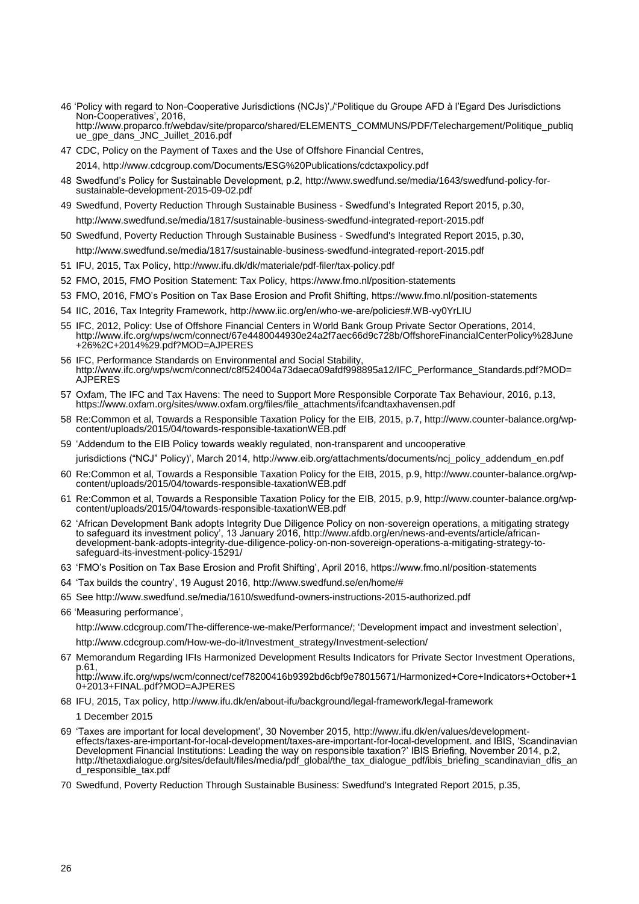- 46 "Policy with regard to Non-Cooperative Jurisdictions (NCJs)",/"Politique du Groupe AFD à l"Egard Des Jurisdictions Non-Cooperatives', 2016, http://www.proparco.fr/webdav/site/proparco/shared/ELEMENTS\_COMMUNS/PDF/Telechargement/Politique\_publiq ue\_gpe\_dans\_JNC\_Juillet\_2016.pdf
- 47 CDC, Policy on the Payment of Taxes and the Use of Offshore Financial Centres, 2014, http://www.cdcgroup.com/Documents/ESG%20Publications/cdctaxpolicy.pdf
- 48 Swedfund"s Policy for Sustainable Development, p.2, [http://www.swedfund.se/media/1643/swedfund-policy-for](http://www.swedfund.se/media/1643/swedfund-policy-for-sustainable-development-2015-09-02.pdf)[sustainable-development-2015-09-02.pdf](http://www.swedfund.se/media/1643/swedfund-policy-for-sustainable-development-2015-09-02.pdf)
- 49 Swedfund, Poverty Reduction Through Sustainable Business Swedfund"s Integrated Report 2015, p.30, <http://www.swedfund.se/media/1817/sustainable-business-swedfund-integrated-report-2015.pdf>
- 50 Swedfund, Poverty Reduction Through Sustainable Business Swedfund's Integrated Report 2015, p.30, <http://www.swedfund.se/media/1817/sustainable-business-swedfund-integrated-report-2015.pdf>
- 51 IFU, 2015, Tax Policy,<http://www.ifu.dk/dk/materiale/pdf-filer/tax-policy.pdf>
- 52 FMO, 2015, FMO Position Statement: Tax Policy,<https://www.fmo.nl/position-statements>
- 53 FMO, 2016, FMO"s Position on Tax Base Erosion and Profit Shifting, https://www.fmo.nl/position-statements
- 54 IIC, 2016, Tax Integrity Framework,<http://www.iic.org/en/who-we-are/policies#.WB-vy0YrLIU>
- 55 IFC, 2012, Policy: Use of Offshore Financial Centers in World Bank Group Private Sector Operations, 2014, [http://www.ifc.org/wps/wcm/connect/67e4480044930e24a2f7aec66d9c728b/OffshoreFinancialCenterPolicy%28June](http://www.ifc.org/wps/wcm/connect/67e4480044930e24a2f7aec66d9c728b/OffshoreFinancialCenterPolicy%28June+26%2C+2014%29.pdf?MOD=AJPERES) [+26%2C+2014%29.pdf?MOD=AJPERES](http://www.ifc.org/wps/wcm/connect/67e4480044930e24a2f7aec66d9c728b/OffshoreFinancialCenterPolicy%28June+26%2C+2014%29.pdf?MOD=AJPERES)
- 56 IFC, Performance Standards on Environmental and Social Stability, http://www.ifc.org/wps/wcm/connect/c8f524004a73daeca09afdf998895a12/IFC\_Performance\_Standards.pdf?MOD= AJPERES
- 57 Oxfam, The IFC and Tax Havens: The need to Support More Responsible Corporate Tax Behaviour, 2016, p.13, [https://www.oxfam.org/sites/www.oxfam.org/files/file\\_attachments/ifcandtaxhavensen.pdf](https://www.oxfam.org/sites/www.oxfam.org/files/file_attachments/ifcandtaxhavensen.pdf)
- 58 Re:Common et al, Towards a Responsible Taxation Policy for the EIB, 2015, p.7, http://www.counter-balance.org/wpcontent/uploads/2015/04/towards-responsible-taxationWEB.pdf
- 59 "Addendum to the EIB Policy towards weakly regulated, non-transparent and uncooperative

jurisdictions ("NCJ" Policy)", March 2014, http://www.eib.org/attachments/documents/ncj\_policy\_addendum\_en.pdf

- 60 Re:Common et al, Towards a Responsible Taxation Policy for the EIB, 2015, p.9, http://www.counter-balance.org/wpcontent/uploads/2015/04/towards-responsible-taxationWEB.pdf
- 61 Re:Common et al, Towards a Responsible Taxation Policy for the EIB, 2015, p.9, http://www.counter-balance.org/wpcontent/uploads/2015/04/towards-responsible-taxationWEB.pdf
- 62 "African Development Bank adopts Integrity Due Diligence Policy on non-sovereign operations, a mitigating strategy to safeguard its investment policy", 13 January 2016, [http://www.afdb.org/en/news-and-events/article/african](http://www.afdb.org/en/news-and-events/article/african-development-bank-adopts-integrity-due-diligence-policy-on-non-sovereign-operations-a-mitigating-strategy-to-safeguard-its-investment-policy-15291/)[development-bank-adopts-integrity-due-diligence-policy-on-non-sovereign-operations-a-mitigating-strategy-to](http://www.afdb.org/en/news-and-events/article/african-development-bank-adopts-integrity-due-diligence-policy-on-non-sovereign-operations-a-mitigating-strategy-to-safeguard-its-investment-policy-15291/)[safeguard-its-investment-policy-15291/](http://www.afdb.org/en/news-and-events/article/african-development-bank-adopts-integrity-due-diligence-policy-on-non-sovereign-operations-a-mitigating-strategy-to-safeguard-its-investment-policy-15291/)
- 63 "FMO"s Position on Tax Base Erosion and Profit Shifting", April 2016, https://www.fmo.nl/position-statements
- 64 "Tax builds the country", 19 August 2016, [http://www.swedfund.se/en/home/#](http://www.swedfund.se/en/home/)
- 65 See<http://www.swedfund.se/media/1610/swedfund-owners-instructions-2015-authorized.pdf>
- 66 "Measuring performance",

[http://www.cdcgroup.com/The-difference-we-make/Performance/;](http://www.cdcgroup.com/The-difference-we-make/Performance/) "Development impact and investment selection",

[http://www.cdcgroup.com/How-we-do-it/Investment\\_strategy/Investment-selection/](http://www.cdcgroup.com/How-we-do-it/Investment_strategy/Investment-selection/)

67 Memorandum Regarding IFIs Harmonized Development Results Indicators for Private Sector Investment Operations, p.61,

[http://www.ifc.org/wps/wcm/connect/cef78200416b9392bd6cbf9e78015671/Harmonized+Core+Indicators+October+1](http://www.ifc.org/wps/wcm/connect/cef78200416b9392bd6cbf9e78015671/Harmonized+Core+Indicators+October+10+2013+FINAL.pdf?MOD=AJPERES) [0+2013+FINAL.pdf?MOD=AJPERES](http://www.ifc.org/wps/wcm/connect/cef78200416b9392bd6cbf9e78015671/Harmonized+Core+Indicators+October+10+2013+FINAL.pdf?MOD=AJPERES)

68 IFU, 2015, Tax policy,<http://www.ifu.dk/en/about-ifu/background/legal-framework/legal-framework>

1 December 2015

- 69 "Taxes are important for local development", 30 November 2015, [http://www.ifu.dk/en/values/development](http://www.ifu.dk/en/values/development-effects/taxes-are-important-for-local-development/taxes-are-important-for-local-development)[effects/taxes-are-important-for-local-development/taxes-are-important-for-local-development.](http://www.ifu.dk/en/values/development-effects/taxes-are-important-for-local-development/taxes-are-important-for-local-development) and IBIS, "Scandinavian Development Financial Institutions: Leading the way on responsible taxation?" IBIS Briefing, November 2014, p.2, [http://thetaxdialogue.org/sites/default/files/media/pdf\\_global/the\\_tax\\_dialogue\\_pdf/ibis\\_briefing\\_scandinavian\\_dfis\\_an](http://thetaxdialogue.org/sites/default/files/media/pdf_global/the_tax_dialogue_pdf/ibis_briefing_scandinavian_dfis_and_responsible_tax.pdf) [d\\_responsible\\_tax.pdf](http://thetaxdialogue.org/sites/default/files/media/pdf_global/the_tax_dialogue_pdf/ibis_briefing_scandinavian_dfis_and_responsible_tax.pdf)
- 70 Swedfund, Poverty Reduction Through Sustainable Business: Swedfund's Integrated Report 2015, p.35,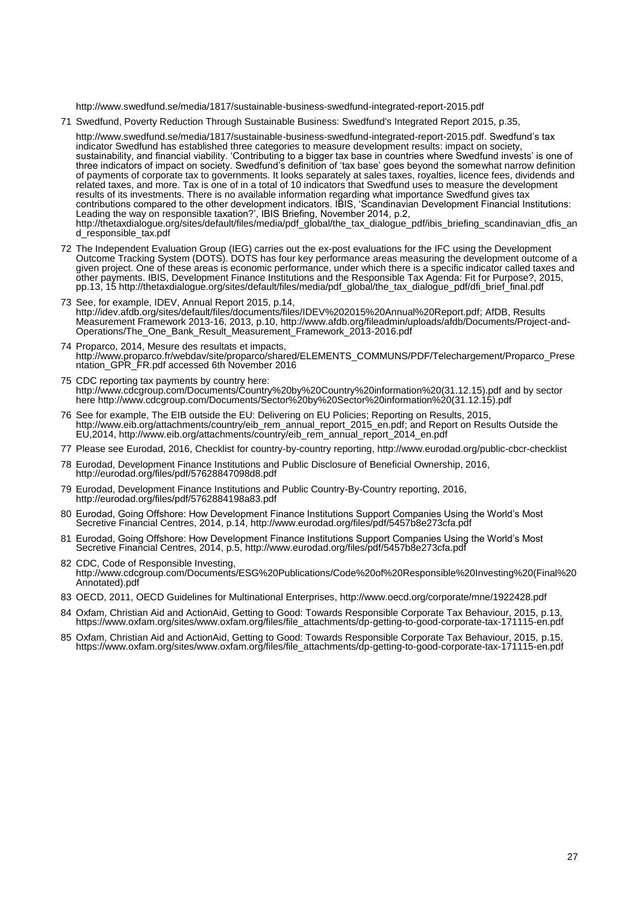<http://www.swedfund.se/media/1817/sustainable-business-swedfund-integrated-report-2015.pdf>

71 Swedfund, Poverty Reduction Through Sustainable Business: Swedfund's Integrated Report 2015, p.35,

[http://www.swedfund.se/media/1817/sustainable-business-swedfund-integrated-report-2015.pdf.](http://www.swedfund.se/media/1817/sustainable-business-swedfund-integrated-report-2015.pdf) Swedfund"s tax indicator Swedfund has established three categories to measure development results: impact on society, sustainability, and financial viability. "Contributing to a bigger tax base in countries where Swedfund invests" is one of three indicators of impact on society. Swedfund"s definition of "tax base" goes beyond the somewhat narrow definition of payments of corporate tax to governments. It looks separately at sales taxes, royalties, licence fees, dividends and related taxes, and more. Tax is one of in a total of 10 indicators that Swedfund uses to measure the development results of its investments. There is no available information regarding what importance Swedfund gives tax contributions compared to the other development indicators. IBIS, "Scandinavian Development Financial Institutions: Leading the way on responsible taxation?", IBIS Briefing, November 2014, p.2, [http://thetaxdialogue.org/sites/default/files/media/pdf\\_global/the\\_tax\\_dialogue\\_pdf/ibis\\_briefing\\_scandinavian\\_dfis\\_an](http://thetaxdialogue.org/sites/default/files/media/pdf_global/the_tax_dialogue_pdf/ibis_briefing_scandinavian_dfis_and_responsible_tax.pdf) [d\\_responsible\\_tax.pdf](http://thetaxdialogue.org/sites/default/files/media/pdf_global/the_tax_dialogue_pdf/ibis_briefing_scandinavian_dfis_and_responsible_tax.pdf)

- 72 The Independent Evaluation Group (IEG) carries out the ex-post evaluations for the IFC using the Development Outcome Tracking System (DOTS). DOTS has four key performance areas measuring the development outcome of a given project. One of these areas is economic performance, under which there is a specific indicator called taxes and other payments. IBIS, Development Finance Institutions and the Responsible Tax Agenda: Fit for Purpose?, 2015, pp.13, 15 [http://thetaxdialogue.org/sites/default/files/media/pdf\\_global/the\\_tax\\_dialogue\\_pdf/dfi\\_brief\\_final.pdf](http://thetaxdialogue.org/sites/default/files/media/pdf_global/the_tax_dialogue_pdf/dfi_brief_final.pdf)
- 73 See, for example, IDEV, Annual Report 2015, p.14, [http://idev.afdb.org/sites/default/files/documents/files/IDEV%202015%20Annual%20Report.pdf;](http://idev.afdb.org/sites/default/files/documents/files/IDEV%202015%20Annual%20Report.pdf) AfDB, Results Measurement Framework 2013-16, 2013, p.10, [http://www.afdb.org/fileadmin/uploads/afdb/Documents/Project-and-](http://www.afdb.org/fileadmin/uploads/afdb/Documents/Project-and-Operations/The_One_Bank_Result_Measurement_Framework_2013-2016.pdf)[Operations/The\\_One\\_Bank\\_Result\\_Measurement\\_Framework\\_2013-2016.pdf](http://www.afdb.org/fileadmin/uploads/afdb/Documents/Project-and-Operations/The_One_Bank_Result_Measurement_Framework_2013-2016.pdf)
- 74 Proparco, 2014, Mesure des resultats et impacts, [http://www.proparco.fr/webdav/site/proparco/shared/ELEMENTS\\_COMMUNS/PDF/Telechargement/Proparco\\_Prese](http://www.proparco.fr/webdav/site/proparco/shared/ELEMENTS_COMMUNS/PDF/Telechargement/Proparco_Presentation_GPR_FR.pdf) [ntation\\_GPR\\_FR.pdf](http://www.proparco.fr/webdav/site/proparco/shared/ELEMENTS_COMMUNS/PDF/Telechargement/Proparco_Presentation_GPR_FR.pdf) accessed 6th November 2016
- 75 CDC reporting tax payments by country here: [http://www.cdcgroup.com/Documents/Country%20by%20Country%20information%20\(31.12.15\).pdf](http://www.cdcgroup.com/Documents/Country%20by%20Country%20information%20(31.12.15).pdf) and by sector here [http://www.cdcgroup.com/Documents/Sector%20by%20Sector%20information%20\(31.12.15\).pdf](http://www.cdcgroup.com/Documents/Sector%20by%20Sector%20information%20(31.12.15).pdf)
- 76 See for example, The EIB outside the EU: Delivering on EU Policies; Reporting on Results, 2015, [http://www.eib.org/attachments/country/eib\\_rem\\_annual\\_report\\_2015\\_en.pdf;](http://www.eib.org/attachments/country/eib_rem_annual_report_2015_en.pdf) and Report on Results Outside the EU,2014, [http://www.eib.org/attachments/country/eib\\_rem\\_annual\\_report\\_2014\\_en.pdf](http://www.eib.org/attachments/country/eib_rem_annual_report_2014_en.pdf)
- 77 Please see Eurodad, 2016, Checklist for country-by-country reporting[, http://www.eurodad.org/public-cbcr-checklist](http://www.eurodad.org/public-cbcr-checklist)
- 78 Eurodad, Development Finance Institutions and Public Disclosure of Beneficial Ownership, 2016, <http://eurodad.org/files/pdf/57628847098d8.pdf>
- 79 Eurodad, Development Finance Institutions and Public Country-By-Country reporting, 2016, <http://eurodad.org/files/pdf/5762884198a83.pdf>
- 80 Eurodad, Going Offshore: How Development Finance Institutions Support Companies Using the World"s Most Secretive Financial Centres, 2014, p.14,<http://www.eurodad.org/files/pdf/5457b8e273cfa.pdf>
- 81 Eurodad, Going Offshore: How Development Finance Institutions Support Companies Using the World"s Most Secretive Financial Centres, 2014, p.5,<http://www.eurodad.org/files/pdf/5457b8e273cfa.pdf>
- 82 CDC, Code of Responsible Investing, [http://www.cdcgroup.com/Documents/ESG%20Publications/Code%20of%20Responsible%20Investing%20\(Final%20](http://www.cdcgroup.com/Documents/ESG%20Publications/Code%20of%20Responsible%20Investing%20(Final%20Annotated).pdf) [Annotated\).pdf](http://www.cdcgroup.com/Documents/ESG%20Publications/Code%20of%20Responsible%20Investing%20(Final%20Annotated).pdf)
- 83 OECD, 2011, OECD Guidelines for Multinational Enterprises,<http://www.oecd.org/corporate/mne/1922428.pdf>
- 84 Oxfam, Christian Aid and ActionAid, Getting to Good: Towards Responsible Corporate Tax Behaviour, 2015, p.13, [https://www.oxfam.org/sites/www.oxfam.org/files/file\\_attachments/dp-getting-to-good-corporate-tax-171115-en.pdf](https://www.oxfam.org/sites/www.oxfam.org/files/file_attachments/dp-getting-to-good-corporate-tax-171115-en.pdf)
- 85 Oxfam, Christian Aid and ActionAid, Getting to Good: Towards Responsible Corporate Tax Behaviour, 2015, p.15, [https://www.oxfam.org/sites/www.oxfam.org/files/file\\_attachments/dp-getting-to-good-corporate-tax-171115-en.pdf](https://www.oxfam.org/sites/www.oxfam.org/files/file_attachments/dp-getting-to-good-corporate-tax-171115-en.pdf)